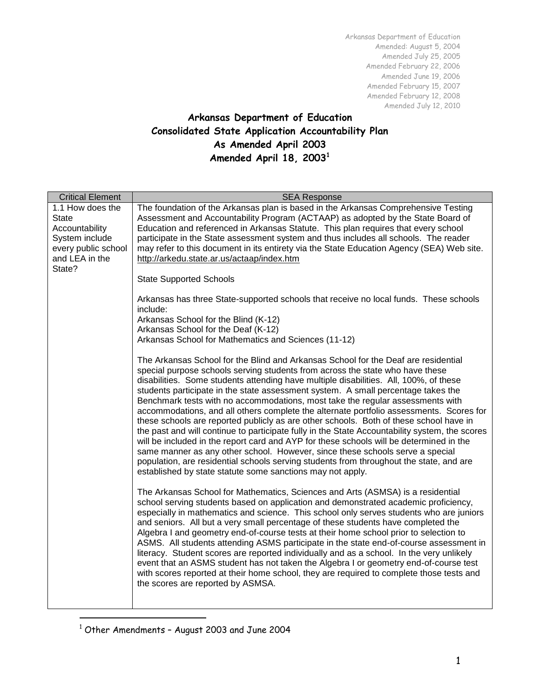# **Arkansas Department of Education Consolidated State Application Accountability Plan As Amended April 2003 Amended April 18, 2003<sup>1</sup>**

| <b>Critical Element</b>               | <b>SEA Response</b>                                                                                                                                                                                                                                                                                                                                                                                                                                                                                                                                                                                                                                                                                                                                                                                                                                                                                                                                                                                                                                             |  |  |  |
|---------------------------------------|-----------------------------------------------------------------------------------------------------------------------------------------------------------------------------------------------------------------------------------------------------------------------------------------------------------------------------------------------------------------------------------------------------------------------------------------------------------------------------------------------------------------------------------------------------------------------------------------------------------------------------------------------------------------------------------------------------------------------------------------------------------------------------------------------------------------------------------------------------------------------------------------------------------------------------------------------------------------------------------------------------------------------------------------------------------------|--|--|--|
| 1.1 How does the<br><b>State</b>      | The foundation of the Arkansas plan is based in the Arkansas Comprehensive Testing<br>Assessment and Accountability Program (ACTAAP) as adopted by the State Board of                                                                                                                                                                                                                                                                                                                                                                                                                                                                                                                                                                                                                                                                                                                                                                                                                                                                                           |  |  |  |
| Accountability                        | Education and referenced in Arkansas Statute. This plan requires that every school                                                                                                                                                                                                                                                                                                                                                                                                                                                                                                                                                                                                                                                                                                                                                                                                                                                                                                                                                                              |  |  |  |
| System include<br>every public school | participate in the State assessment system and thus includes all schools. The reader<br>may refer to this document in its entirety via the State Education Agency (SEA) Web site.                                                                                                                                                                                                                                                                                                                                                                                                                                                                                                                                                                                                                                                                                                                                                                                                                                                                               |  |  |  |
| and LEA in the<br>State?              | http://arkedu.state.ar.us/actaap/index.htm                                                                                                                                                                                                                                                                                                                                                                                                                                                                                                                                                                                                                                                                                                                                                                                                                                                                                                                                                                                                                      |  |  |  |
|                                       | <b>State Supported Schools</b>                                                                                                                                                                                                                                                                                                                                                                                                                                                                                                                                                                                                                                                                                                                                                                                                                                                                                                                                                                                                                                  |  |  |  |
|                                       | Arkansas has three State-supported schools that receive no local funds. These schools<br>include:                                                                                                                                                                                                                                                                                                                                                                                                                                                                                                                                                                                                                                                                                                                                                                                                                                                                                                                                                               |  |  |  |
|                                       | Arkansas School for the Blind (K-12)                                                                                                                                                                                                                                                                                                                                                                                                                                                                                                                                                                                                                                                                                                                                                                                                                                                                                                                                                                                                                            |  |  |  |
|                                       | Arkansas School for the Deaf (K-12)<br>Arkansas School for Mathematics and Sciences (11-12)                                                                                                                                                                                                                                                                                                                                                                                                                                                                                                                                                                                                                                                                                                                                                                                                                                                                                                                                                                     |  |  |  |
|                                       | The Arkansas School for the Blind and Arkansas School for the Deaf are residential<br>special purpose schools serving students from across the state who have these<br>disabilities. Some students attending have multiple disabilities. All, 100%, of these<br>students participate in the state assessment system. A small percentage takes the<br>Benchmark tests with no accommodations, most take the regular assessments with<br>accommodations, and all others complete the alternate portfolio assessments. Scores for<br>these schools are reported publicly as are other schools. Both of these school have in<br>the past and will continue to participate fully in the State Accountability system, the scores<br>will be included in the report card and AYP for these schools will be determined in the<br>same manner as any other school. However, since these schools serve a special<br>population, are residential schools serving students from throughout the state, and are<br>established by state statute some sanctions may not apply. |  |  |  |
|                                       | The Arkansas School for Mathematics, Sciences and Arts (ASMSA) is a residential<br>school serving students based on application and demonstrated academic proficiency,<br>especially in mathematics and science. This school only serves students who are juniors<br>and seniors. All but a very small percentage of these students have completed the<br>Algebra I and geometry end-of-course tests at their home school prior to selection to<br>ASMS. All students attending ASMS participate in the state end-of-course assessment in<br>literacy. Student scores are reported individually and as a school. In the very unlikely<br>event that an ASMS student has not taken the Algebra I or geometry end-of-course test<br>with scores reported at their home school, they are required to complete those tests and<br>the scores are reported by ASMSA.                                                                                                                                                                                                 |  |  |  |

<sup>1</sup> Other Amendments – August 2003 and June 2004

 $\overline{a}$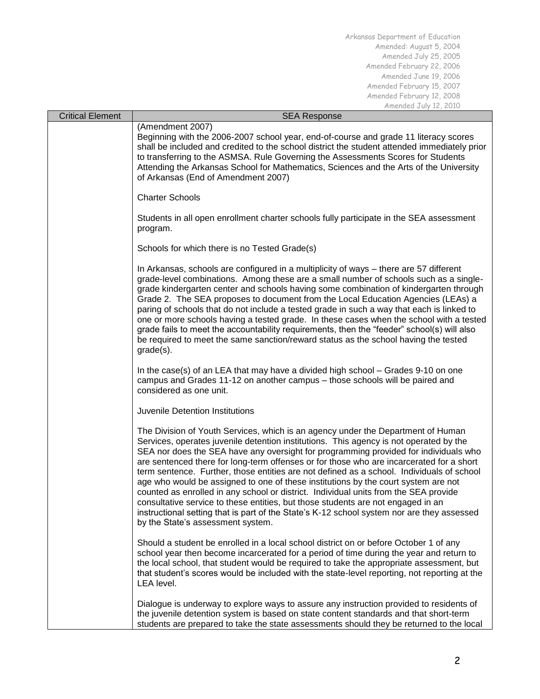| <b>Critical Element</b>                                                                                                                                                                                                                                                                                                                                                                                                                                                                                                                                                                                                                                                                                                                                                                                                                                                                                                                                     | <b>SEA Response</b>                                                                                                                                                                                                                                                                                                                                                                                                                                                                                                                                                                                                                                                                                                                                                                                                                                              |  |                                 |
|-------------------------------------------------------------------------------------------------------------------------------------------------------------------------------------------------------------------------------------------------------------------------------------------------------------------------------------------------------------------------------------------------------------------------------------------------------------------------------------------------------------------------------------------------------------------------------------------------------------------------------------------------------------------------------------------------------------------------------------------------------------------------------------------------------------------------------------------------------------------------------------------------------------------------------------------------------------|------------------------------------------------------------------------------------------------------------------------------------------------------------------------------------------------------------------------------------------------------------------------------------------------------------------------------------------------------------------------------------------------------------------------------------------------------------------------------------------------------------------------------------------------------------------------------------------------------------------------------------------------------------------------------------------------------------------------------------------------------------------------------------------------------------------------------------------------------------------|--|---------------------------------|
|                                                                                                                                                                                                                                                                                                                                                                                                                                                                                                                                                                                                                                                                                                                                                                                                                                                                                                                                                             | (Amendment 2007)<br>Beginning with the 2006-2007 school year, end-of-course and grade 11 literacy scores<br>shall be included and credited to the school district the student attended immediately prior<br>to transferring to the ASMSA. Rule Governing the Assessments Scores for Students<br>Attending the Arkansas School for Mathematics, Sciences and the Arts of the University<br>of Arkansas (End of Amendment 2007)                                                                                                                                                                                                                                                                                                                                                                                                                                    |  |                                 |
|                                                                                                                                                                                                                                                                                                                                                                                                                                                                                                                                                                                                                                                                                                                                                                                                                                                                                                                                                             | <b>Charter Schools</b>                                                                                                                                                                                                                                                                                                                                                                                                                                                                                                                                                                                                                                                                                                                                                                                                                                           |  |                                 |
|                                                                                                                                                                                                                                                                                                                                                                                                                                                                                                                                                                                                                                                                                                                                                                                                                                                                                                                                                             | Students in all open enrollment charter schools fully participate in the SEA assessment<br>program.                                                                                                                                                                                                                                                                                                                                                                                                                                                                                                                                                                                                                                                                                                                                                              |  |                                 |
|                                                                                                                                                                                                                                                                                                                                                                                                                                                                                                                                                                                                                                                                                                                                                                                                                                                                                                                                                             | Schools for which there is no Tested Grade(s)                                                                                                                                                                                                                                                                                                                                                                                                                                                                                                                                                                                                                                                                                                                                                                                                                    |  |                                 |
| In Arkansas, schools are configured in a multiplicity of ways - there are 57 different<br>grade-level combinations. Among these are a small number of schools such as a single-<br>grade kindergarten center and schools having some combination of kindergarten through<br>Grade 2. The SEA proposes to document from the Local Education Agencies (LEAs) a<br>paring of schools that do not include a tested grade in such a way that each is linked to<br>one or more schools having a tested grade. In these cases when the school with a tested<br>grade fails to meet the accountability requirements, then the "feeder" school(s) will also<br>be required to meet the same sanction/reward status as the school having the tested<br>$grade(s)$ .<br>In the case(s) of an LEA that may have a divided high school $-$ Grades 9-10 on one<br>campus and Grades 11-12 on another campus – those schools will be paired and<br>considered as one unit. |                                                                                                                                                                                                                                                                                                                                                                                                                                                                                                                                                                                                                                                                                                                                                                                                                                                                  |  |                                 |
|                                                                                                                                                                                                                                                                                                                                                                                                                                                                                                                                                                                                                                                                                                                                                                                                                                                                                                                                                             |                                                                                                                                                                                                                                                                                                                                                                                                                                                                                                                                                                                                                                                                                                                                                                                                                                                                  |  | Juvenile Detention Institutions |
|                                                                                                                                                                                                                                                                                                                                                                                                                                                                                                                                                                                                                                                                                                                                                                                                                                                                                                                                                             | The Division of Youth Services, which is an agency under the Department of Human<br>Services, operates juvenile detention institutions. This agency is not operated by the<br>SEA nor does the SEA have any oversight for programming provided for individuals who<br>are sentenced there for long-term offenses or for those who are incarcerated for a short<br>term sentence. Further, those entities are not defined as a school. Individuals of school<br>age who would be assigned to one of these institutions by the court system are not<br>counted as enrolled in any school or district. Individual units from the SEA provide<br>consultative service to these entities, but those students are not engaged in an<br>instructional setting that is part of the State's K-12 school system nor are they assessed<br>by the State's assessment system. |  |                                 |
|                                                                                                                                                                                                                                                                                                                                                                                                                                                                                                                                                                                                                                                                                                                                                                                                                                                                                                                                                             | Should a student be enrolled in a local school district on or before October 1 of any<br>school year then become incarcerated for a period of time during the year and return to<br>the local school, that student would be required to take the appropriate assessment, but<br>that student's scores would be included with the state-level reporting, not reporting at the<br>LEA level.                                                                                                                                                                                                                                                                                                                                                                                                                                                                       |  |                                 |
|                                                                                                                                                                                                                                                                                                                                                                                                                                                                                                                                                                                                                                                                                                                                                                                                                                                                                                                                                             | Dialogue is underway to explore ways to assure any instruction provided to residents of<br>the juvenile detention system is based on state content standards and that short-term<br>students are prepared to take the state assessments should they be returned to the local                                                                                                                                                                                                                                                                                                                                                                                                                                                                                                                                                                                     |  |                                 |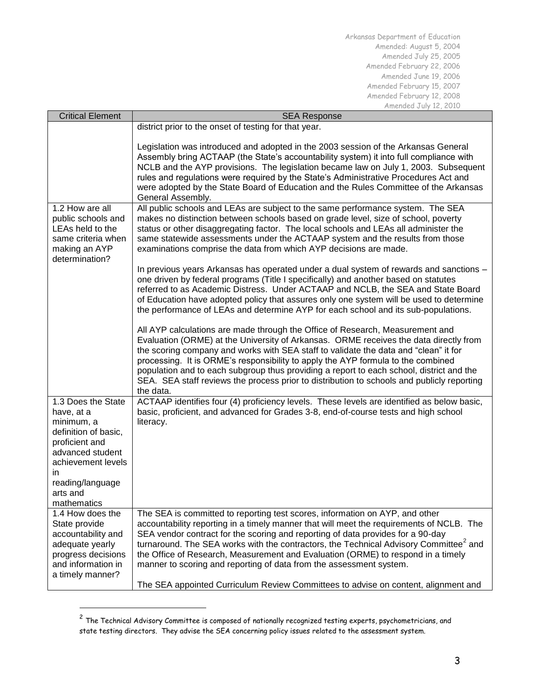| <b>Critical Element</b>                                                                                                                                                                 | <b>SEA Response</b>                                                                                                                                                                                                                                                                                                                                                                                                                                                                                                                                                                                               |  |  |
|-----------------------------------------------------------------------------------------------------------------------------------------------------------------------------------------|-------------------------------------------------------------------------------------------------------------------------------------------------------------------------------------------------------------------------------------------------------------------------------------------------------------------------------------------------------------------------------------------------------------------------------------------------------------------------------------------------------------------------------------------------------------------------------------------------------------------|--|--|
|                                                                                                                                                                                         | district prior to the onset of testing for that year.                                                                                                                                                                                                                                                                                                                                                                                                                                                                                                                                                             |  |  |
|                                                                                                                                                                                         | Legislation was introduced and adopted in the 2003 session of the Arkansas General<br>Assembly bring ACTAAP (the State's accountability system) it into full compliance with<br>NCLB and the AYP provisions. The legislation became law on July 1, 2003. Subsequent<br>rules and regulations were required by the State's Administrative Procedures Act and<br>were adopted by the State Board of Education and the Rules Committee of the Arkansas<br>General Assembly.                                                                                                                                          |  |  |
| 1.2 How are all                                                                                                                                                                         | All public schools and LEAs are subject to the same performance system. The SEA                                                                                                                                                                                                                                                                                                                                                                                                                                                                                                                                   |  |  |
| public schools and<br>LEAs held to the<br>same criteria when<br>making an AYP<br>determination?                                                                                         | makes no distinction between schools based on grade level, size of school, poverty<br>status or other disaggregating factor. The local schools and LEAs all administer the<br>same statewide assessments under the ACTAAP system and the results from those<br>examinations comprise the data from which AYP decisions are made.                                                                                                                                                                                                                                                                                  |  |  |
|                                                                                                                                                                                         | In previous years Arkansas has operated under a dual system of rewards and sanctions -<br>one driven by federal programs (Title I specifically) and another based on statutes<br>referred to as Academic Distress. Under ACTAAP and NCLB, the SEA and State Board<br>of Education have adopted policy that assures only one system will be used to determine<br>the performance of LEAs and determine AYP for each school and its sub-populations.                                                                                                                                                                |  |  |
|                                                                                                                                                                                         | All AYP calculations are made through the Office of Research, Measurement and<br>Evaluation (ORME) at the University of Arkansas. ORME receives the data directly from<br>the scoring company and works with SEA staff to validate the data and "clean" it for<br>processing. It is ORME's responsibility to apply the AYP formula to the combined<br>population and to each subgroup thus providing a report to each school, district and the<br>SEA. SEA staff reviews the process prior to distribution to schools and publicly reporting<br>the data.                                                         |  |  |
| 1.3 Does the State<br>have, at a<br>minimum, a<br>definition of basic,<br>proficient and<br>advanced student<br>achievement levels<br>in<br>reading/language<br>arts and<br>mathematics | ACTAAP identifies four (4) proficiency levels. These levels are identified as below basic,<br>basic, proficient, and advanced for Grades 3-8, end-of-course tests and high school<br>literacy.                                                                                                                                                                                                                                                                                                                                                                                                                    |  |  |
| 1.4 How does the<br>State provide<br>accountability and<br>adequate yearly<br>progress decisions<br>and information in<br>a timely manner?                                              | The SEA is committed to reporting test scores, information on AYP, and other<br>accountability reporting in a timely manner that will meet the requirements of NCLB. The<br>SEA vendor contract for the scoring and reporting of data provides for a 90-day<br>turnaround. The SEA works with the contractors, the Technical Advisory Committee <sup>2</sup> and<br>the Office of Research, Measurement and Evaluation (ORME) to respond in a timely<br>manner to scoring and reporting of data from the assessment system.<br>The SEA appointed Curriculum Review Committees to advise on content, alignment and |  |  |

 $^{\text{2}}$  The Technical Advisory Committee is composed of nationally recognized testing experts, psychometricians, and state testing directors. They advise the SEA concerning policy issues related to the assessment system.

1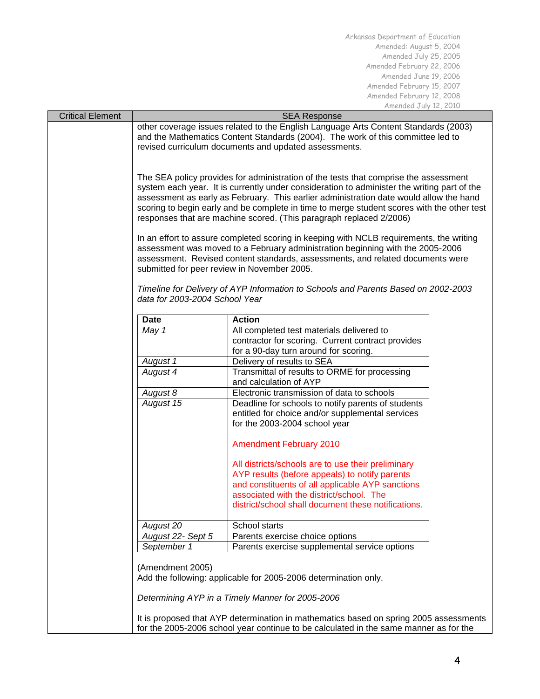| <b>Critical Element</b> | <b>SEA Response</b>                                                                                                                                                                                                                                                                                                                                                                                                                                                                                                                                                                                                                                                                                                                                                                                                                                                                                                                                  |                                                                                                                                                                                                                                                             |  |
|-------------------------|------------------------------------------------------------------------------------------------------------------------------------------------------------------------------------------------------------------------------------------------------------------------------------------------------------------------------------------------------------------------------------------------------------------------------------------------------------------------------------------------------------------------------------------------------------------------------------------------------------------------------------------------------------------------------------------------------------------------------------------------------------------------------------------------------------------------------------------------------------------------------------------------------------------------------------------------------|-------------------------------------------------------------------------------------------------------------------------------------------------------------------------------------------------------------------------------------------------------------|--|
|                         | other coverage issues related to the English Language Arts Content Standards (2003)<br>and the Mathematics Content Standards (2004). The work of this committee led to<br>revised curriculum documents and updated assessments.<br>The SEA policy provides for administration of the tests that comprise the assessment<br>system each year. It is currently under consideration to administer the writing part of the<br>assessment as early as February. This earlier administration date would allow the hand<br>scoring to begin early and be complete in time to merge student scores with the other test<br>responses that are machine scored. (This paragraph replaced 2/2006)<br>In an effort to assure completed scoring in keeping with NCLB requirements, the writing<br>assessment was moved to a February administration beginning with the 2005-2006<br>assessment. Revised content standards, assessments, and related documents were |                                                                                                                                                                                                                                                             |  |
|                         |                                                                                                                                                                                                                                                                                                                                                                                                                                                                                                                                                                                                                                                                                                                                                                                                                                                                                                                                                      |                                                                                                                                                                                                                                                             |  |
|                         |                                                                                                                                                                                                                                                                                                                                                                                                                                                                                                                                                                                                                                                                                                                                                                                                                                                                                                                                                      |                                                                                                                                                                                                                                                             |  |
|                         | submitted for peer review in November 2005.<br>Timeline for Delivery of AYP Information to Schools and Parents Based on 2002-2003<br>data for 2003-2004 School Year                                                                                                                                                                                                                                                                                                                                                                                                                                                                                                                                                                                                                                                                                                                                                                                  |                                                                                                                                                                                                                                                             |  |
|                         | Date                                                                                                                                                                                                                                                                                                                                                                                                                                                                                                                                                                                                                                                                                                                                                                                                                                                                                                                                                 | <b>Action</b>                                                                                                                                                                                                                                               |  |
|                         | May 1                                                                                                                                                                                                                                                                                                                                                                                                                                                                                                                                                                                                                                                                                                                                                                                                                                                                                                                                                | All completed test materials delivered to<br>contractor for scoring. Current contract provides<br>for a 90-day turn around for scoring.                                                                                                                     |  |
|                         | August 1                                                                                                                                                                                                                                                                                                                                                                                                                                                                                                                                                                                                                                                                                                                                                                                                                                                                                                                                             | Delivery of results to SEA                                                                                                                                                                                                                                  |  |
|                         | August 4                                                                                                                                                                                                                                                                                                                                                                                                                                                                                                                                                                                                                                                                                                                                                                                                                                                                                                                                             | Transmittal of results to ORME for processing<br>and calculation of AYP                                                                                                                                                                                     |  |
|                         | August 8                                                                                                                                                                                                                                                                                                                                                                                                                                                                                                                                                                                                                                                                                                                                                                                                                                                                                                                                             | Electronic transmission of data to schools                                                                                                                                                                                                                  |  |
|                         | August 15                                                                                                                                                                                                                                                                                                                                                                                                                                                                                                                                                                                                                                                                                                                                                                                                                                                                                                                                            | Deadline for schools to notify parents of students<br>entitled for choice and/or supplemental services<br>for the 2003-2004 school year                                                                                                                     |  |
|                         |                                                                                                                                                                                                                                                                                                                                                                                                                                                                                                                                                                                                                                                                                                                                                                                                                                                                                                                                                      | <b>Amendment February 2010</b>                                                                                                                                                                                                                              |  |
|                         |                                                                                                                                                                                                                                                                                                                                                                                                                                                                                                                                                                                                                                                                                                                                                                                                                                                                                                                                                      | All districts/schools are to use their preliminary<br>AYP results (before appeals) to notify parents<br>and constituents of all applicable AYP sanctions<br>associated with the district/school. The<br>district/school shall document these notifications. |  |
|                         | August 20                                                                                                                                                                                                                                                                                                                                                                                                                                                                                                                                                                                                                                                                                                                                                                                                                                                                                                                                            | School starts                                                                                                                                                                                                                                               |  |
|                         | August 22- Sept 5                                                                                                                                                                                                                                                                                                                                                                                                                                                                                                                                                                                                                                                                                                                                                                                                                                                                                                                                    | Parents exercise choice options                                                                                                                                                                                                                             |  |
|                         | September 1                                                                                                                                                                                                                                                                                                                                                                                                                                                                                                                                                                                                                                                                                                                                                                                                                                                                                                                                          | Parents exercise supplemental service options                                                                                                                                                                                                               |  |
|                         | (Amendment 2005)<br>Add the following: applicable for 2005-2006 determination only.                                                                                                                                                                                                                                                                                                                                                                                                                                                                                                                                                                                                                                                                                                                                                                                                                                                                  |                                                                                                                                                                                                                                                             |  |
|                         |                                                                                                                                                                                                                                                                                                                                                                                                                                                                                                                                                                                                                                                                                                                                                                                                                                                                                                                                                      | Determining AYP in a Timely Manner for 2005-2006                                                                                                                                                                                                            |  |
|                         | It is proposed that AYP determination in mathematics based on spring 2005 assessments<br>for the 2005-2006 school year continue to be calculated in the same manner as for the                                                                                                                                                                                                                                                                                                                                                                                                                                                                                                                                                                                                                                                                                                                                                                       |                                                                                                                                                                                                                                                             |  |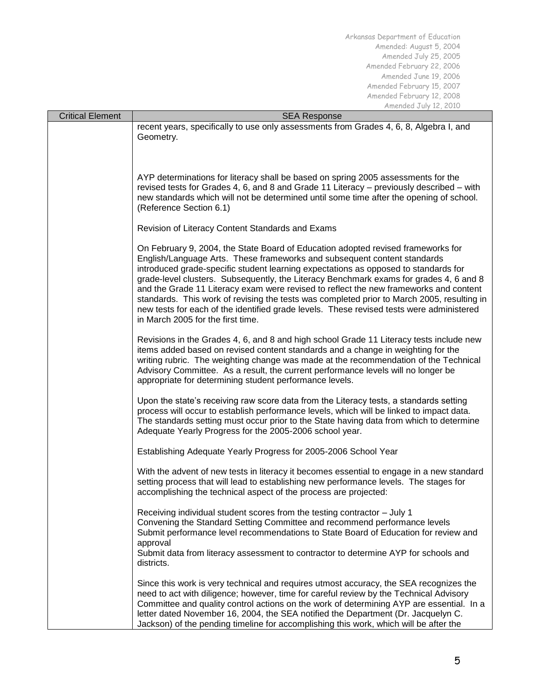| <b>Critical Element</b> | $1.11$ chucu $0.01$ is $1.21$ in $1.21$<br><b>SEA Response</b>                                                                                                                                                                                                                                                                                                                                                                                                                                                                                                                                                                                                        |  |  |
|-------------------------|-----------------------------------------------------------------------------------------------------------------------------------------------------------------------------------------------------------------------------------------------------------------------------------------------------------------------------------------------------------------------------------------------------------------------------------------------------------------------------------------------------------------------------------------------------------------------------------------------------------------------------------------------------------------------|--|--|
|                         | recent years, specifically to use only assessments from Grades 4, 6, 8, Algebra I, and<br>Geometry.                                                                                                                                                                                                                                                                                                                                                                                                                                                                                                                                                                   |  |  |
|                         |                                                                                                                                                                                                                                                                                                                                                                                                                                                                                                                                                                                                                                                                       |  |  |
|                         |                                                                                                                                                                                                                                                                                                                                                                                                                                                                                                                                                                                                                                                                       |  |  |
|                         | AYP determinations for literacy shall be based on spring 2005 assessments for the<br>revised tests for Grades 4, 6, and 8 and Grade 11 Literacy - previously described - with<br>new standards which will not be determined until some time after the opening of school.<br>(Reference Section 6.1)                                                                                                                                                                                                                                                                                                                                                                   |  |  |
|                         | Revision of Literacy Content Standards and Exams                                                                                                                                                                                                                                                                                                                                                                                                                                                                                                                                                                                                                      |  |  |
|                         | On February 9, 2004, the State Board of Education adopted revised frameworks for<br>English/Language Arts. These frameworks and subsequent content standards<br>introduced grade-specific student learning expectations as opposed to standards for<br>grade-level clusters. Subsequently, the Literacy Benchmark exams for grades 4, 6 and 8<br>and the Grade 11 Literacy exam were revised to reflect the new frameworks and content<br>standards. This work of revising the tests was completed prior to March 2005, resulting in<br>new tests for each of the identified grade levels. These revised tests were administered<br>in March 2005 for the first time. |  |  |
|                         | Revisions in the Grades 4, 6, and 8 and high school Grade 11 Literacy tests include new<br>items added based on revised content standards and a change in weighting for the<br>writing rubric. The weighting change was made at the recommendation of the Technical<br>Advisory Committee. As a result, the current performance levels will no longer be<br>appropriate for determining student performance levels.                                                                                                                                                                                                                                                   |  |  |
|                         | Upon the state's receiving raw score data from the Literacy tests, a standards setting<br>process will occur to establish performance levels, which will be linked to impact data.<br>The standards setting must occur prior to the State having data from which to determine<br>Adequate Yearly Progress for the 2005-2006 school year.                                                                                                                                                                                                                                                                                                                              |  |  |
|                         | Establishing Adequate Yearly Progress for 2005-2006 School Year                                                                                                                                                                                                                                                                                                                                                                                                                                                                                                                                                                                                       |  |  |
|                         | With the advent of new tests in literacy it becomes essential to engage in a new standard<br>setting process that will lead to establishing new performance levels. The stages for<br>accomplishing the technical aspect of the process are projected:                                                                                                                                                                                                                                                                                                                                                                                                                |  |  |
|                         | Receiving individual student scores from the testing contractor - July 1<br>Convening the Standard Setting Committee and recommend performance levels<br>Submit performance level recommendations to State Board of Education for review and<br>approval<br>Submit data from literacy assessment to contractor to determine AYP for schools and                                                                                                                                                                                                                                                                                                                       |  |  |
|                         | districts.<br>Since this work is very technical and requires utmost accuracy, the SEA recognizes the<br>need to act with diligence; however, time for careful review by the Technical Advisory<br>Committee and quality control actions on the work of determining AYP are essential. In a<br>letter dated November 16, 2004, the SEA notified the Department (Dr. Jacquelyn C.<br>Jackson) of the pending timeline for accomplishing this work, which will be after the                                                                                                                                                                                              |  |  |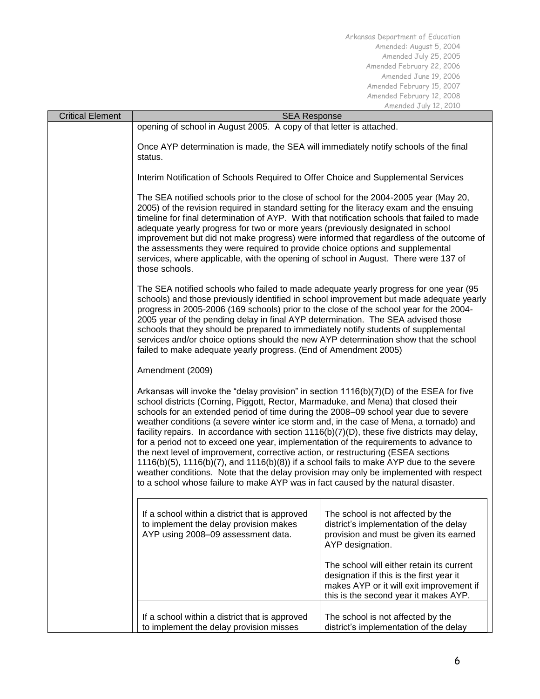| <b>Critical Element</b>                                                                                                                                                                                                                                                                                                                                                                                                                                                                                                                                                                                            | <b>SEA Response</b>                                                                                                                                                                                                                                                                                                                                                                                                                                                                                                                                                                                                                                                                                                                                                                                                                                                                                                                  |                                                                                                                                                                            |  |
|--------------------------------------------------------------------------------------------------------------------------------------------------------------------------------------------------------------------------------------------------------------------------------------------------------------------------------------------------------------------------------------------------------------------------------------------------------------------------------------------------------------------------------------------------------------------------------------------------------------------|--------------------------------------------------------------------------------------------------------------------------------------------------------------------------------------------------------------------------------------------------------------------------------------------------------------------------------------------------------------------------------------------------------------------------------------------------------------------------------------------------------------------------------------------------------------------------------------------------------------------------------------------------------------------------------------------------------------------------------------------------------------------------------------------------------------------------------------------------------------------------------------------------------------------------------------|----------------------------------------------------------------------------------------------------------------------------------------------------------------------------|--|
|                                                                                                                                                                                                                                                                                                                                                                                                                                                                                                                                                                                                                    | opening of school in August 2005. A copy of that letter is attached.                                                                                                                                                                                                                                                                                                                                                                                                                                                                                                                                                                                                                                                                                                                                                                                                                                                                 |                                                                                                                                                                            |  |
|                                                                                                                                                                                                                                                                                                                                                                                                                                                                                                                                                                                                                    | Once AYP determination is made, the SEA will immediately notify schools of the final<br>status.                                                                                                                                                                                                                                                                                                                                                                                                                                                                                                                                                                                                                                                                                                                                                                                                                                      |                                                                                                                                                                            |  |
|                                                                                                                                                                                                                                                                                                                                                                                                                                                                                                                                                                                                                    | Interim Notification of Schools Required to Offer Choice and Supplemental Services                                                                                                                                                                                                                                                                                                                                                                                                                                                                                                                                                                                                                                                                                                                                                                                                                                                   |                                                                                                                                                                            |  |
|                                                                                                                                                                                                                                                                                                                                                                                                                                                                                                                                                                                                                    | The SEA notified schools prior to the close of school for the 2004-2005 year (May 20,<br>2005) of the revision required in standard setting for the literacy exam and the ensuing<br>timeline for final determination of AYP. With that notification schools that failed to made<br>adequate yearly progress for two or more years (previously designated in school<br>improvement but did not make progress) were informed that regardless of the outcome of<br>the assessments they were required to provide choice options and supplemental<br>services, where applicable, with the opening of school in August. There were 137 of<br>those schools.                                                                                                                                                                                                                                                                              |                                                                                                                                                                            |  |
| The SEA notified schools who failed to made adequate yearly progress for one year (95<br>schools) and those previously identified in school improvement but made adequate yearly<br>progress in 2005-2006 (169 schools) prior to the close of the school year for the 2004-<br>2005 year of the pending delay in final AYP determination. The SEA advised those<br>schools that they should be prepared to immediately notify students of supplemental<br>services and/or choice options should the new AYP determination show that the school<br>failed to make adequate yearly progress. (End of Amendment 2005) |                                                                                                                                                                                                                                                                                                                                                                                                                                                                                                                                                                                                                                                                                                                                                                                                                                                                                                                                      |                                                                                                                                                                            |  |
|                                                                                                                                                                                                                                                                                                                                                                                                                                                                                                                                                                                                                    | Amendment (2009)                                                                                                                                                                                                                                                                                                                                                                                                                                                                                                                                                                                                                                                                                                                                                                                                                                                                                                                     |                                                                                                                                                                            |  |
|                                                                                                                                                                                                                                                                                                                                                                                                                                                                                                                                                                                                                    | Arkansas will invoke the "delay provision" in section $1116(b)(7)(D)$ of the ESEA for five<br>school districts (Corning, Piggott, Rector, Marmaduke, and Mena) that closed their<br>schools for an extended period of time during the 2008–09 school year due to severe<br>weather conditions (a severe winter ice storm and, in the case of Mena, a tornado) and<br>facility repairs. In accordance with section $1116(b)(7)(D)$ , these five districts may delay,<br>for a period not to exceed one year, implementation of the requirements to advance to<br>the next level of improvement, corrective action, or restructuring (ESEA sections<br>$1116(b)(5)$ , $1116(b)(7)$ , and $1116(b)(8)$ ) if a school fails to make AYP due to the severe<br>weather conditions. Note that the delay provision may only be implemented with respect<br>to a school whose failure to make AYP was in fact caused by the natural disaster. |                                                                                                                                                                            |  |
|                                                                                                                                                                                                                                                                                                                                                                                                                                                                                                                                                                                                                    | If a school within a district that is approved<br>to implement the delay provision makes<br>AYP using 2008-09 assessment data.                                                                                                                                                                                                                                                                                                                                                                                                                                                                                                                                                                                                                                                                                                                                                                                                       | The school is not affected by the<br>district's implementation of the delay<br>provision and must be given its earned<br>AYP designation.                                  |  |
|                                                                                                                                                                                                                                                                                                                                                                                                                                                                                                                                                                                                                    |                                                                                                                                                                                                                                                                                                                                                                                                                                                                                                                                                                                                                                                                                                                                                                                                                                                                                                                                      | The school will either retain its current<br>designation if this is the first year it<br>makes AYP or it will exit improvement if<br>this is the second year it makes AYP. |  |
|                                                                                                                                                                                                                                                                                                                                                                                                                                                                                                                                                                                                                    | If a school within a district that is approved<br>to implement the delay provision misses                                                                                                                                                                                                                                                                                                                                                                                                                                                                                                                                                                                                                                                                                                                                                                                                                                            | The school is not affected by the<br>district's implementation of the delay                                                                                                |  |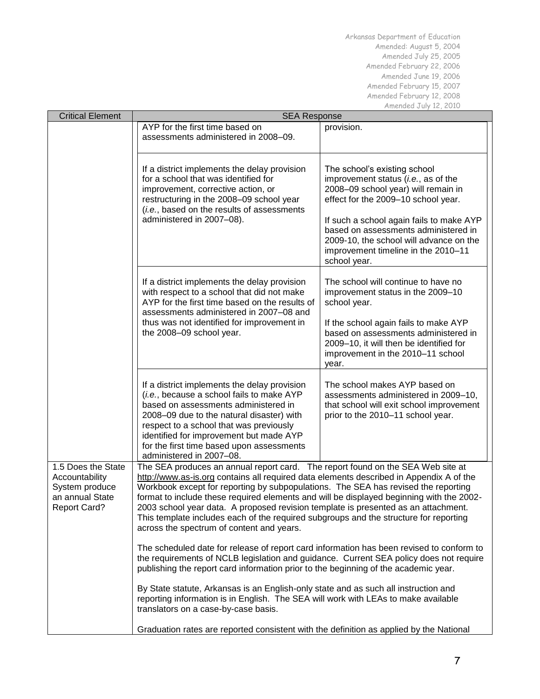| <b>Critical Element</b>                                                                          | <b>SEA Response</b>                                                                                                                                                                                                                                                                                                                                                                                                                                                                                                                                                                       |                                                                                                                                                                                                                                                                                                                                         |  |
|--------------------------------------------------------------------------------------------------|-------------------------------------------------------------------------------------------------------------------------------------------------------------------------------------------------------------------------------------------------------------------------------------------------------------------------------------------------------------------------------------------------------------------------------------------------------------------------------------------------------------------------------------------------------------------------------------------|-----------------------------------------------------------------------------------------------------------------------------------------------------------------------------------------------------------------------------------------------------------------------------------------------------------------------------------------|--|
|                                                                                                  | AYP for the first time based on<br>assessments administered in 2008–09.                                                                                                                                                                                                                                                                                                                                                                                                                                                                                                                   | provision.                                                                                                                                                                                                                                                                                                                              |  |
|                                                                                                  | If a district implements the delay provision<br>for a school that was identified for<br>improvement, corrective action, or<br>restructuring in the 2008-09 school year<br>(i.e., based on the results of assessments<br>administered in 2007-08).                                                                                                                                                                                                                                                                                                                                         | The school's existing school<br>improvement status (i.e., as of the<br>2008-09 school year) will remain in<br>effect for the 2009-10 school year.<br>If such a school again fails to make AYP<br>based on assessments administered in<br>2009-10, the school will advance on the<br>improvement timeline in the 2010-11<br>school year. |  |
|                                                                                                  | If a district implements the delay provision<br>with respect to a school that did not make<br>AYP for the first time based on the results of<br>assessments administered in 2007-08 and<br>thus was not identified for improvement in<br>the 2008-09 school year.                                                                                                                                                                                                                                                                                                                         | The school will continue to have no<br>improvement status in the 2009-10<br>school year.<br>If the school again fails to make AYP<br>based on assessments administered in<br>2009-10, it will then be identified for<br>improvement in the 2010-11 school<br>year.                                                                      |  |
|                                                                                                  | If a district implements the delay provision<br>(i.e., because a school fails to make AYP<br>based on assessments administered in<br>2008-09 due to the natural disaster) with<br>respect to a school that was previously<br>identified for improvement but made AYP<br>for the first time based upon assessments<br>administered in 2007-08.                                                                                                                                                                                                                                             | The school makes AYP based on<br>assessments administered in 2009-10,<br>that school will exit school improvement<br>prior to the 2010-11 school year.                                                                                                                                                                                  |  |
| 1.5 Does the State<br>Accountability<br>System produce<br>an annual State<br><b>Report Card?</b> | The SEA produces an annual report card. The report found on the SEA Web site at<br>http://www.as-is.org contains all required data elements described in Appendix A of the<br>Workbook except for reporting by subpopulations. The SEA has revised the reporting<br>format to include these required elements and will be displayed beginning with the 2002-<br>2003 school year data. A proposed revision template is presented as an attachment.<br>This template includes each of the required subgroups and the structure for reporting<br>across the spectrum of content and years.  |                                                                                                                                                                                                                                                                                                                                         |  |
|                                                                                                  | The scheduled date for release of report card information has been revised to conform to<br>the requirements of NCLB legislation and guidance. Current SEA policy does not require<br>publishing the report card information prior to the beginning of the academic year.<br>By State statute, Arkansas is an English-only state and as such all instruction and<br>reporting information is in English. The SEA will work with LEAs to make available<br>translators on a case-by-case basis.<br>Graduation rates are reported consistent with the definition as applied by the National |                                                                                                                                                                                                                                                                                                                                         |  |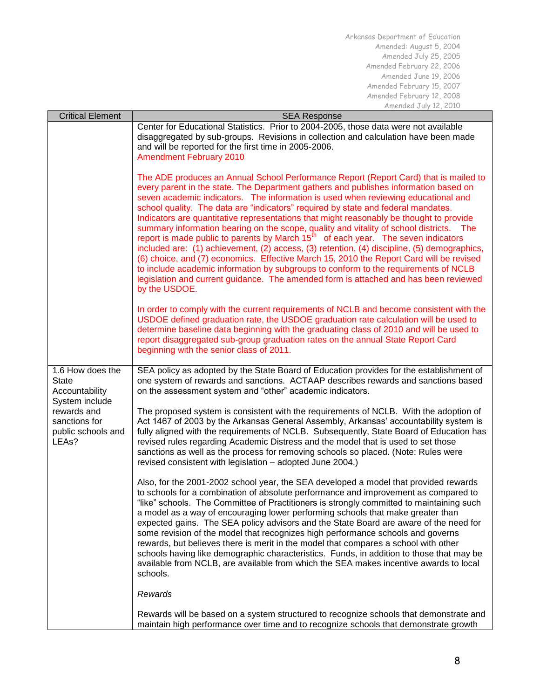| <b>Critical Element</b>                                              | <b>SEA Response</b>                                                                                                                                                                                                                                                                                                                                                                                                                                                                                                                                                                                                                                                                                                                                                                                                                                                                                                                                                                                                                     |  |  |
|----------------------------------------------------------------------|-----------------------------------------------------------------------------------------------------------------------------------------------------------------------------------------------------------------------------------------------------------------------------------------------------------------------------------------------------------------------------------------------------------------------------------------------------------------------------------------------------------------------------------------------------------------------------------------------------------------------------------------------------------------------------------------------------------------------------------------------------------------------------------------------------------------------------------------------------------------------------------------------------------------------------------------------------------------------------------------------------------------------------------------|--|--|
|                                                                      | Center for Educational Statistics. Prior to 2004-2005, those data were not available<br>disaggregated by sub-groups. Revisions in collection and calculation have been made<br>and will be reported for the first time in 2005-2006.<br><b>Amendment February 2010</b>                                                                                                                                                                                                                                                                                                                                                                                                                                                                                                                                                                                                                                                                                                                                                                  |  |  |
|                                                                      | The ADE produces an Annual School Performance Report (Report Card) that is mailed to<br>every parent in the state. The Department gathers and publishes information based on<br>seven academic indicators. The information is used when reviewing educational and<br>school quality. The data are "indicators" required by state and federal mandates.<br>Indicators are quantitative representations that might reasonably be thought to provide<br>summary information bearing on the scope, quality and vitality of school districts. The<br>report is made public to parents by March 15 <sup>th</sup> of each year. The seven indicators<br>included are: (1) achievement, (2) access, (3) retention, (4) discipline, (5) demographics,<br>(6) choice, and (7) economics. Effective March 15, 2010 the Report Card will be revised<br>to include academic information by subgroups to conform to the requirements of NCLB<br>legislation and current guidance. The amended form is attached and has been reviewed<br>by the USDOE. |  |  |
|                                                                      | In order to comply with the current requirements of NCLB and become consistent with the<br>USDOE defined graduation rate, the USDOE graduation rate calculation will be used to<br>determine baseline data beginning with the graduating class of 2010 and will be used to<br>report disaggregated sub-group graduation rates on the annual State Report Card<br>beginning with the senior class of 2011.                                                                                                                                                                                                                                                                                                                                                                                                                                                                                                                                                                                                                               |  |  |
| 1.6 How does the<br><b>State</b><br>Accountability<br>System include | SEA policy as adopted by the State Board of Education provides for the establishment of<br>one system of rewards and sanctions. ACTAAP describes rewards and sanctions based<br>on the assessment system and "other" academic indicators.                                                                                                                                                                                                                                                                                                                                                                                                                                                                                                                                                                                                                                                                                                                                                                                               |  |  |
| rewards and<br>sanctions for<br>public schools and<br>LEAs?          | The proposed system is consistent with the requirements of NCLB. With the adoption of<br>Act 1467 of 2003 by the Arkansas General Assembly, Arkansas' accountability system is<br>fully aligned with the requirements of NCLB. Subsequently, State Board of Education has<br>revised rules regarding Academic Distress and the model that is used to set those<br>sanctions as well as the process for removing schools so placed. (Note: Rules were<br>revised consistent with legislation - adopted June 2004.)                                                                                                                                                                                                                                                                                                                                                                                                                                                                                                                       |  |  |
|                                                                      | Also, for the 2001-2002 school year, the SEA developed a model that provided rewards<br>to schools for a combination of absolute performance and improvement as compared to<br>"like" schools. The Committee of Practitioners is strongly committed to maintaining such<br>a model as a way of encouraging lower performing schools that make greater than<br>expected gains. The SEA policy advisors and the State Board are aware of the need for<br>some revision of the model that recognizes high performance schools and governs<br>rewards, but believes there is merit in the model that compares a school with other<br>schools having like demographic characteristics. Funds, in addition to those that may be<br>available from NCLB, are available from which the SEA makes incentive awards to local<br>schools.                                                                                                                                                                                                          |  |  |
|                                                                      | Rewards                                                                                                                                                                                                                                                                                                                                                                                                                                                                                                                                                                                                                                                                                                                                                                                                                                                                                                                                                                                                                                 |  |  |
|                                                                      | Rewards will be based on a system structured to recognize schools that demonstrate and<br>maintain high performance over time and to recognize schools that demonstrate growth                                                                                                                                                                                                                                                                                                                                                                                                                                                                                                                                                                                                                                                                                                                                                                                                                                                          |  |  |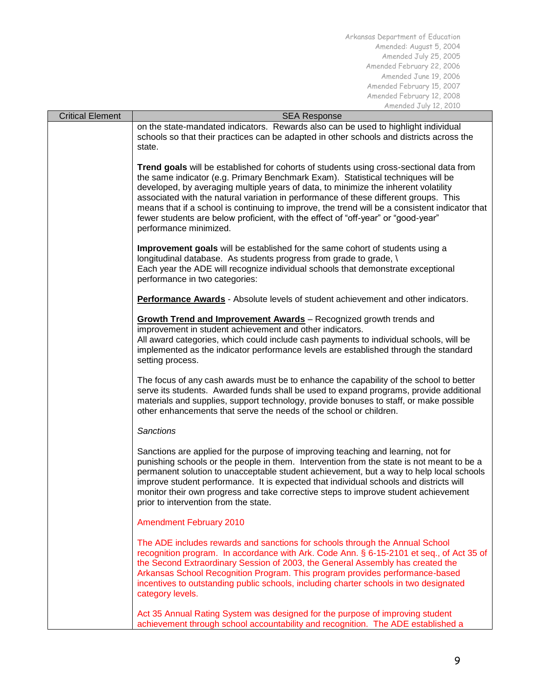| <b>Critical Element</b> | <b>SEA Response</b>                                                                                                                                                                                                                                                                                                                                                                                                                                                                                                                                                         |  |  |
|-------------------------|-----------------------------------------------------------------------------------------------------------------------------------------------------------------------------------------------------------------------------------------------------------------------------------------------------------------------------------------------------------------------------------------------------------------------------------------------------------------------------------------------------------------------------------------------------------------------------|--|--|
|                         | on the state-mandated indicators. Rewards also can be used to highlight individual<br>schools so that their practices can be adapted in other schools and districts across the<br>state.                                                                                                                                                                                                                                                                                                                                                                                    |  |  |
|                         | Trend goals will be established for cohorts of students using cross-sectional data from<br>the same indicator (e.g. Primary Benchmark Exam). Statistical techniques will be<br>developed, by averaging multiple years of data, to minimize the inherent volatility<br>associated with the natural variation in performance of these different groups. This<br>means that if a school is continuing to improve, the trend will be a consistent indicator that<br>fewer students are below proficient, with the effect of "off-year" or "good-year"<br>performance minimized. |  |  |
|                         | Improvement goals will be established for the same cohort of students using a<br>longitudinal database. As students progress from grade to grade, \<br>Each year the ADE will recognize individual schools that demonstrate exceptional<br>performance in two categories:                                                                                                                                                                                                                                                                                                   |  |  |
|                         | <b>Performance Awards</b> - Absolute levels of student achievement and other indicators.                                                                                                                                                                                                                                                                                                                                                                                                                                                                                    |  |  |
|                         | <b>Growth Trend and Improvement Awards</b> - Recognized growth trends and<br>improvement in student achievement and other indicators.<br>All award categories, which could include cash payments to individual schools, will be<br>implemented as the indicator performance levels are established through the standard<br>setting process.                                                                                                                                                                                                                                 |  |  |
|                         | The focus of any cash awards must be to enhance the capability of the school to better<br>serve its students. Awarded funds shall be used to expand programs, provide additional<br>materials and supplies, support technology, provide bonuses to staff, or make possible<br>other enhancements that serve the needs of the school or children.                                                                                                                                                                                                                            |  |  |
|                         | <b>Sanctions</b>                                                                                                                                                                                                                                                                                                                                                                                                                                                                                                                                                            |  |  |
|                         | Sanctions are applied for the purpose of improving teaching and learning, not for<br>punishing schools or the people in them. Intervention from the state is not meant to be a<br>permanent solution to unacceptable student achievement, but a way to help local schools<br>improve student performance. It is expected that individual schools and districts will<br>monitor their own progress and take corrective steps to improve student achievement<br>prior to intervention from the state.                                                                         |  |  |
|                         | <b>Amendment February 2010</b>                                                                                                                                                                                                                                                                                                                                                                                                                                                                                                                                              |  |  |
|                         | The ADE includes rewards and sanctions for schools through the Annual School<br>recognition program. In accordance with Ark. Code Ann. § 6-15-2101 et seq., of Act 35 of<br>the Second Extraordinary Session of 2003, the General Assembly has created the<br>Arkansas School Recognition Program. This program provides performance-based<br>incentives to outstanding public schools, including charter schools in two designated<br>category levels.                                                                                                                     |  |  |
|                         | Act 35 Annual Rating System was designed for the purpose of improving student<br>achievement through school accountability and recognition. The ADE established a                                                                                                                                                                                                                                                                                                                                                                                                           |  |  |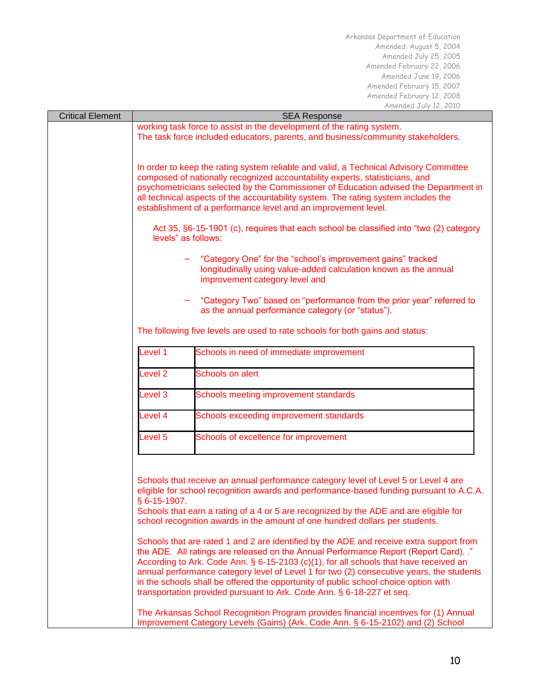| <b>Critical Element</b> | <b>SEA Response</b>                                                                                                                                                                                                                                                                                                                                                                                                                                                                                                                  |                                                                                                                                                                         |  |
|-------------------------|--------------------------------------------------------------------------------------------------------------------------------------------------------------------------------------------------------------------------------------------------------------------------------------------------------------------------------------------------------------------------------------------------------------------------------------------------------------------------------------------------------------------------------------|-------------------------------------------------------------------------------------------------------------------------------------------------------------------------|--|
|                         | working task force to assist in the development of the rating system.<br>The task force included educators, parents, and business/community stakeholders.                                                                                                                                                                                                                                                                                                                                                                            |                                                                                                                                                                         |  |
|                         | In order to keep the rating system reliable and valid, a Technical Advisory Committee<br>composed of nationally recognized accountability experts, statisticians, and<br>psychometricians selected by the Commissioner of Education advised the Department in<br>all technical aspects of the accountability system. The rating system includes the<br>establishment of a performance level and an improvement level.                                                                                                                |                                                                                                                                                                         |  |
|                         | Act 35, §6-15-1901 (c), requires that each school be classified into "two (2) category<br>levels" as follows:                                                                                                                                                                                                                                                                                                                                                                                                                        |                                                                                                                                                                         |  |
|                         | "Category One" for the "school's improvement gains" tracked<br>longitudinally using value-added calculation known as the annual<br>improvement category level and                                                                                                                                                                                                                                                                                                                                                                    |                                                                                                                                                                         |  |
|                         |                                                                                                                                                                                                                                                                                                                                                                                                                                                                                                                                      | "Category Two" based on "performance from the prior year" referred to<br>as the annual performance category (or "status").                                              |  |
|                         |                                                                                                                                                                                                                                                                                                                                                                                                                                                                                                                                      | The following five levels are used to rate schools for both gains and status:                                                                                           |  |
|                         | Level 1                                                                                                                                                                                                                                                                                                                                                                                                                                                                                                                              | Schools in need of immediate improvement                                                                                                                                |  |
|                         | Level <sub>2</sub>                                                                                                                                                                                                                                                                                                                                                                                                                                                                                                                   | Schools on alert                                                                                                                                                        |  |
|                         | Level 3                                                                                                                                                                                                                                                                                                                                                                                                                                                                                                                              | Schools meeting improvement standards                                                                                                                                   |  |
|                         | Level 4                                                                                                                                                                                                                                                                                                                                                                                                                                                                                                                              | Schools exceeding improvement standards                                                                                                                                 |  |
|                         | Schools of excellence for improvement<br>Level 5                                                                                                                                                                                                                                                                                                                                                                                                                                                                                     |                                                                                                                                                                         |  |
|                         | Schools that receive an annual performance category level of Level 5 or Level 4 are<br>eligible for school recognition awards and performance-based funding pursuant to A.C.A.<br>§ 6-15-1907.<br>Schools that earn a rating of a 4 or 5 are recognized by the ADE and are eligible for<br>school recognition awards in the amount of one hundred dollars per students.                                                                                                                                                              |                                                                                                                                                                         |  |
|                         | Schools that are rated 1 and 2 are identified by the ADE and receive extra support from<br>the ADE. All ratings are released on the Annual Performance Report (Report Card). ."<br>According to Ark. Code Ann. § 6-15-2103 (c)(1), for all schools that have received an<br>annual performance category level of Level 1 for two (2) consecutive years, the students<br>in the schools shall be offered the opportunity of public school choice option with<br>transportation provided pursuant to Ark. Code Ann. § 6-18-227 et seq. |                                                                                                                                                                         |  |
|                         |                                                                                                                                                                                                                                                                                                                                                                                                                                                                                                                                      | The Arkansas School Recognition Program provides financial incentives for (1) Annual<br>Improvement Category Levels (Gains) (Ark. Code Ann. § 6-15-2102) and (2) School |  |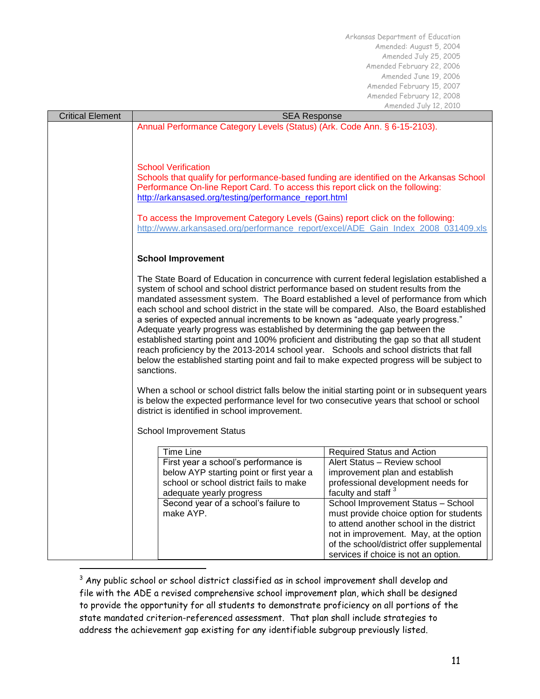| <b>Critical Element</b> | <b>SEA Response</b>                                                                                                                                                                                                                                                                                                                                       |                                                                      |  |
|-------------------------|-----------------------------------------------------------------------------------------------------------------------------------------------------------------------------------------------------------------------------------------------------------------------------------------------------------------------------------------------------------|----------------------------------------------------------------------|--|
|                         | Annual Performance Category Levels (Status) (Ark. Code Ann. § 6-15-2103).                                                                                                                                                                                                                                                                                 |                                                                      |  |
|                         | <b>School Verification</b>                                                                                                                                                                                                                                                                                                                                |                                                                      |  |
|                         |                                                                                                                                                                                                                                                                                                                                                           |                                                                      |  |
|                         |                                                                                                                                                                                                                                                                                                                                                           |                                                                      |  |
|                         | Schools that qualify for performance-based funding are identified on the Arkansas School                                                                                                                                                                                                                                                                  |                                                                      |  |
|                         | Performance On-line Report Card. To access this report click on the following:                                                                                                                                                                                                                                                                            |                                                                      |  |
|                         | http://arkansased.org/testing/performance_report.html                                                                                                                                                                                                                                                                                                     |                                                                      |  |
|                         |                                                                                                                                                                                                                                                                                                                                                           |                                                                      |  |
|                         | To access the Improvement Category Levels (Gains) report click on the following:                                                                                                                                                                                                                                                                          |                                                                      |  |
|                         | http://www.arkansased.org/performance_report/excel/ADE_Gain_Index_2008_031409.xls                                                                                                                                                                                                                                                                         |                                                                      |  |
|                         |                                                                                                                                                                                                                                                                                                                                                           |                                                                      |  |
|                         | <b>School Improvement</b>                                                                                                                                                                                                                                                                                                                                 |                                                                      |  |
|                         |                                                                                                                                                                                                                                                                                                                                                           |                                                                      |  |
|                         | The State Board of Education in concurrence with current federal legislation established a                                                                                                                                                                                                                                                                |                                                                      |  |
|                         | system of school and school district performance based on student results from the                                                                                                                                                                                                                                                                        |                                                                      |  |
|                         | mandated assessment system. The Board established a level of performance from which                                                                                                                                                                                                                                                                       |                                                                      |  |
|                         | each school and school district in the state will be compared. Also, the Board established                                                                                                                                                                                                                                                                |                                                                      |  |
|                         | a series of expected annual increments to be known as "adequate yearly progress."<br>Adequate yearly progress was established by determining the gap between the<br>established starting point and 100% proficient and distributing the gap so that all student<br>reach proficiency by the 2013-2014 school year. Schools and school districts that fall |                                                                      |  |
|                         |                                                                                                                                                                                                                                                                                                                                                           |                                                                      |  |
|                         |                                                                                                                                                                                                                                                                                                                                                           |                                                                      |  |
|                         | below the established starting point and fail to make expected progress will be subject to                                                                                                                                                                                                                                                                |                                                                      |  |
|                         | sanctions.                                                                                                                                                                                                                                                                                                                                                |                                                                      |  |
|                         | When a school or school district falls below the initial starting point or in subsequent years<br>is below the expected performance level for two consecutive years that school or school                                                                                                                                                                 |                                                                      |  |
|                         |                                                                                                                                                                                                                                                                                                                                                           |                                                                      |  |
|                         |                                                                                                                                                                                                                                                                                                                                                           |                                                                      |  |
|                         | district is identified in school improvement.                                                                                                                                                                                                                                                                                                             |                                                                      |  |
|                         | <b>School Improvement Status</b>                                                                                                                                                                                                                                                                                                                          |                                                                      |  |
|                         |                                                                                                                                                                                                                                                                                                                                                           |                                                                      |  |
|                         | <b>Time Line</b>                                                                                                                                                                                                                                                                                                                                          | Required Status and Action                                           |  |
|                         | First year a school's performance is                                                                                                                                                                                                                                                                                                                      | Alert Status - Review school                                         |  |
|                         | below AYP starting point or first year a                                                                                                                                                                                                                                                                                                                  | improvement plan and establish                                       |  |
|                         | school or school district fails to make                                                                                                                                                                                                                                                                                                                   | professional development needs for                                   |  |
|                         | adequate yearly progress<br>Second year of a school's failure to                                                                                                                                                                                                                                                                                          | faculty and staff <sup>3</sup><br>School Improvement Status - School |  |
|                         | make AYP.                                                                                                                                                                                                                                                                                                                                                 | must provide choice option for students                              |  |
|                         |                                                                                                                                                                                                                                                                                                                                                           | to attend another school in the district                             |  |
|                         |                                                                                                                                                                                                                                                                                                                                                           | not in improvement. May, at the option                               |  |
|                         |                                                                                                                                                                                                                                                                                                                                                           | of the school/district offer supplemental                            |  |
|                         |                                                                                                                                                                                                                                                                                                                                                           | services if choice is not an option.                                 |  |

 $^3$  Any public school or school district classified as in school improvement shall develop and file with the ADE a revised comprehensive school improvement plan, which shall be designed to provide the opportunity for all students to demonstrate proficiency on all portions of the state mandated criterion-referenced assessment. That plan shall include strategies to address the achievement gap existing for any identifiable subgroup previously listed.

l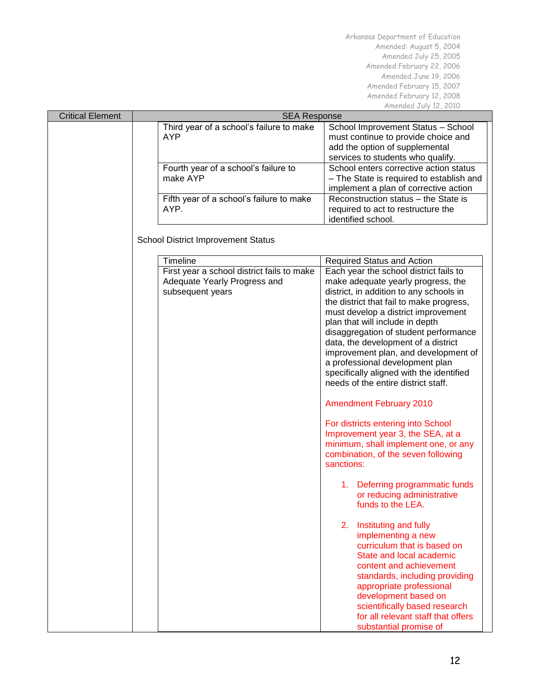| <b>Critical Element</b> | <b>SEA Response</b>                                                                            |                                                                                                                                                                                                                                                                                                                                                                                                                                                                                                                                                                                                                                                                                                                       |  |
|-------------------------|------------------------------------------------------------------------------------------------|-----------------------------------------------------------------------------------------------------------------------------------------------------------------------------------------------------------------------------------------------------------------------------------------------------------------------------------------------------------------------------------------------------------------------------------------------------------------------------------------------------------------------------------------------------------------------------------------------------------------------------------------------------------------------------------------------------------------------|--|
|                         | Third year of a school's failure to make<br><b>AYP</b>                                         | School Improvement Status - School<br>must continue to provide choice and<br>add the option of supplemental<br>services to students who qualify.                                                                                                                                                                                                                                                                                                                                                                                                                                                                                                                                                                      |  |
|                         | Fourth year of a school's failure to<br>make AYP                                               | School enters corrective action status<br>- The State is required to establish and<br>implement a plan of corrective action                                                                                                                                                                                                                                                                                                                                                                                                                                                                                                                                                                                           |  |
|                         | Fifth year of a school's failure to make<br>AYP.                                               | Reconstruction status - the State is<br>required to act to restructure the<br>identified school.                                                                                                                                                                                                                                                                                                                                                                                                                                                                                                                                                                                                                      |  |
|                         | <b>School District Improvement Status</b>                                                      |                                                                                                                                                                                                                                                                                                                                                                                                                                                                                                                                                                                                                                                                                                                       |  |
|                         | <b>Timeline</b>                                                                                |                                                                                                                                                                                                                                                                                                                                                                                                                                                                                                                                                                                                                                                                                                                       |  |
|                         | First year a school district fails to make<br>Adequate Yearly Progress and<br>subsequent years | Required Status and Action<br>Each year the school district fails to<br>make adequate yearly progress, the<br>district, in addition to any schools in<br>the district that fail to make progress,<br>must develop a district improvement<br>plan that will include in depth<br>disaggregation of student performance<br>data, the development of a district<br>improvement plan, and development of<br>a professional development plan<br>specifically aligned with the identified<br>needs of the entire district staff.<br><b>Amendment February 2010</b><br>For districts entering into School<br>Improvement year 3, the SEA, at a<br>minimum, shall implement one, or any<br>combination, of the seven following |  |
|                         |                                                                                                | sanctions:<br>1. Deferring programmatic funds<br>or reducing administrative<br>funds to the LEA.                                                                                                                                                                                                                                                                                                                                                                                                                                                                                                                                                                                                                      |  |
|                         |                                                                                                | 2.<br>Instituting and fully<br>implementing a new<br>curriculum that is based on<br>State and local academic<br>content and achievement<br>standards, including providing<br>appropriate professional<br>development based on<br>scientifically based research<br>for all relevant staff that offers<br>substantial promise of                                                                                                                                                                                                                                                                                                                                                                                        |  |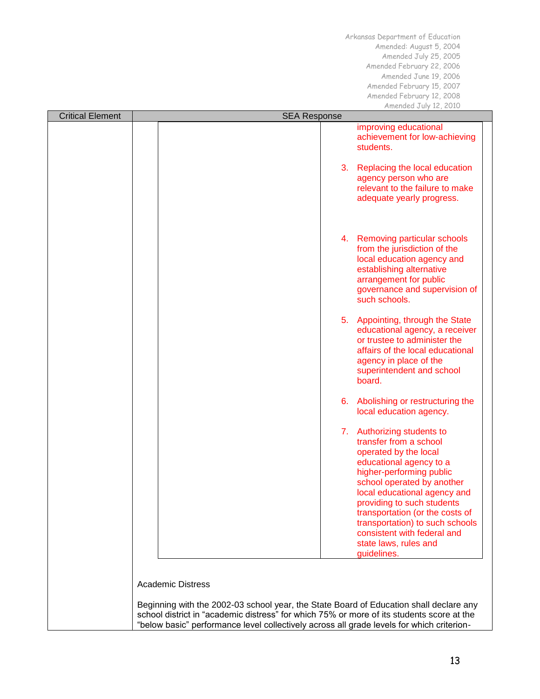| <b>Critical Element</b> | <b>SEA Response</b>                                                                                                                                                                 |    |                                                                                                                                                                                                                                                                                                                                                                               |
|-------------------------|-------------------------------------------------------------------------------------------------------------------------------------------------------------------------------------|----|-------------------------------------------------------------------------------------------------------------------------------------------------------------------------------------------------------------------------------------------------------------------------------------------------------------------------------------------------------------------------------|
|                         |                                                                                                                                                                                     |    | improving educational<br>achievement for low-achieving<br>students.                                                                                                                                                                                                                                                                                                           |
|                         |                                                                                                                                                                                     | 3. | Replacing the local education<br>agency person who are<br>relevant to the failure to make<br>adequate yearly progress.                                                                                                                                                                                                                                                        |
|                         |                                                                                                                                                                                     | 4. | Removing particular schools<br>from the jurisdiction of the<br>local education agency and<br>establishing alternative<br>arrangement for public<br>governance and supervision of<br>such schools.                                                                                                                                                                             |
|                         |                                                                                                                                                                                     |    | 5. Appointing, through the State<br>educational agency, a receiver<br>or trustee to administer the<br>affairs of the local educational<br>agency in place of the<br>superintendent and school<br>board.                                                                                                                                                                       |
|                         |                                                                                                                                                                                     | 6. | Abolishing or restructuring the<br>local education agency.                                                                                                                                                                                                                                                                                                                    |
|                         |                                                                                                                                                                                     |    | 7. Authorizing students to<br>transfer from a school<br>operated by the local<br>educational agency to a<br>higher-performing public<br>school operated by another<br>local educational agency and<br>providing to such students<br>transportation (or the costs of<br>transportation) to such schools<br>consistent with federal and<br>state laws, rules and<br>guidelines. |
|                         | <b>Academic Distress</b>                                                                                                                                                            |    |                                                                                                                                                                                                                                                                                                                                                                               |
|                         | Beginning with the 2002-03 school year, the State Board of Education shall declare any<br>school district in "academic distress" for which 75% or more of its students score at the |    |                                                                                                                                                                                                                                                                                                                                                                               |
|                         | "below basic" performance level collectively across all grade levels for which criterion-                                                                                           |    |                                                                                                                                                                                                                                                                                                                                                                               |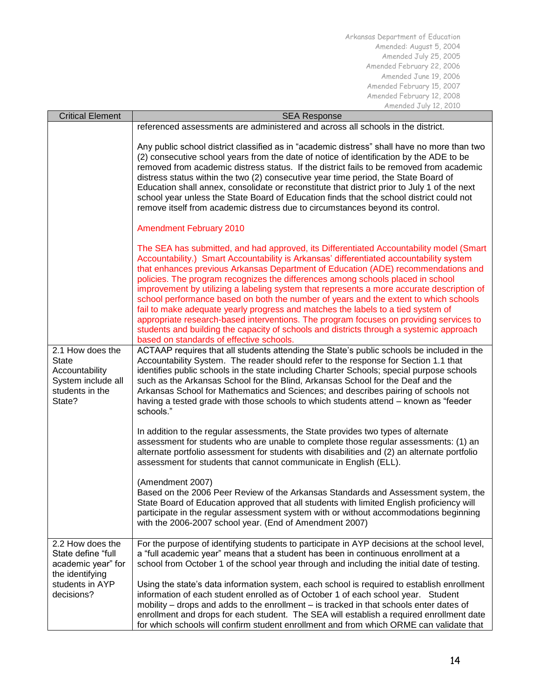| <b>Critical Element</b>                                                                                          | <b>SEA Response</b>                                                                                                                                                                                                                                                                                                                                                                                                                                                                                                                                                                                                                                                                                                                                                                                                                                                  |  |
|------------------------------------------------------------------------------------------------------------------|----------------------------------------------------------------------------------------------------------------------------------------------------------------------------------------------------------------------------------------------------------------------------------------------------------------------------------------------------------------------------------------------------------------------------------------------------------------------------------------------------------------------------------------------------------------------------------------------------------------------------------------------------------------------------------------------------------------------------------------------------------------------------------------------------------------------------------------------------------------------|--|
|                                                                                                                  | referenced assessments are administered and across all schools in the district.                                                                                                                                                                                                                                                                                                                                                                                                                                                                                                                                                                                                                                                                                                                                                                                      |  |
|                                                                                                                  | Any public school district classified as in "academic distress" shall have no more than two<br>(2) consecutive school years from the date of notice of identification by the ADE to be<br>removed from academic distress status. If the district fails to be removed from academic<br>distress status within the two (2) consecutive year time period, the State Board of<br>Education shall annex, consolidate or reconstitute that district prior to July 1 of the next<br>school year unless the State Board of Education finds that the school district could not<br>remove itself from academic distress due to circumstances beyond its control.                                                                                                                                                                                                               |  |
|                                                                                                                  | <b>Amendment February 2010</b>                                                                                                                                                                                                                                                                                                                                                                                                                                                                                                                                                                                                                                                                                                                                                                                                                                       |  |
|                                                                                                                  | The SEA has submitted, and had approved, its Differentiated Accountability model (Smart<br>Accountability.) Smart Accountability is Arkansas' differentiated accountability system<br>that enhances previous Arkansas Department of Education (ADE) recommendations and<br>policies. The program recognizes the differences among schools placed in school<br>improvement by utilizing a labeling system that represents a more accurate description of<br>school performance based on both the number of years and the extent to which schools<br>fail to make adequate yearly progress and matches the labels to a tied system of<br>appropriate research-based interventions. The program focuses on providing services to<br>students and building the capacity of schools and districts through a systemic approach<br>based on standards of effective schools. |  |
| 2.1 How does the<br><b>State</b><br>Accountability<br>System include all<br>students in the<br>State?            | ACTAAP requires that all students attending the State's public schools be included in the<br>Accountability System. The reader should refer to the response for Section 1.1 that<br>identifies public schools in the state including Charter Schools; special purpose schools<br>such as the Arkansas School for the Blind, Arkansas School for the Deaf and the<br>Arkansas School for Mathematics and Sciences; and describes pairing of schools not<br>having a tested grade with those schools to which students attend - known as "feeder<br>schools."                                                                                                                                                                                                                                                                                                          |  |
|                                                                                                                  | In addition to the regular assessments, the State provides two types of alternate<br>assessment for students who are unable to complete those regular assessments: (1) an<br>alternate portfolio assessment for students with disabilities and (2) an alternate portfolio<br>assessment for students that cannot communicate in English (ELL).                                                                                                                                                                                                                                                                                                                                                                                                                                                                                                                       |  |
|                                                                                                                  | (Amendment 2007)<br>Based on the 2006 Peer Review of the Arkansas Standards and Assessment system, the<br>State Board of Education approved that all students with limited English proficiency will<br>participate in the regular assessment system with or without accommodations beginning<br>with the 2006-2007 school year. (End of Amendment 2007)                                                                                                                                                                                                                                                                                                                                                                                                                                                                                                              |  |
| 2.2 How does the<br>State define "full<br>academic year" for<br>the identifying<br>students in AYP<br>decisions? | For the purpose of identifying students to participate in AYP decisions at the school level,<br>a "full academic year" means that a student has been in continuous enrollment at a<br>school from October 1 of the school year through and including the initial date of testing.                                                                                                                                                                                                                                                                                                                                                                                                                                                                                                                                                                                    |  |
|                                                                                                                  | Using the state's data information system, each school is required to establish enrollment<br>information of each student enrolled as of October 1 of each school year. Student<br>mobility – drops and adds to the enrollment – is tracked in that schools enter dates of<br>enrollment and drops for each student. The SEA will establish a required enrollment date<br>for which schools will confirm student enrollment and from which ORME can validate that                                                                                                                                                                                                                                                                                                                                                                                                    |  |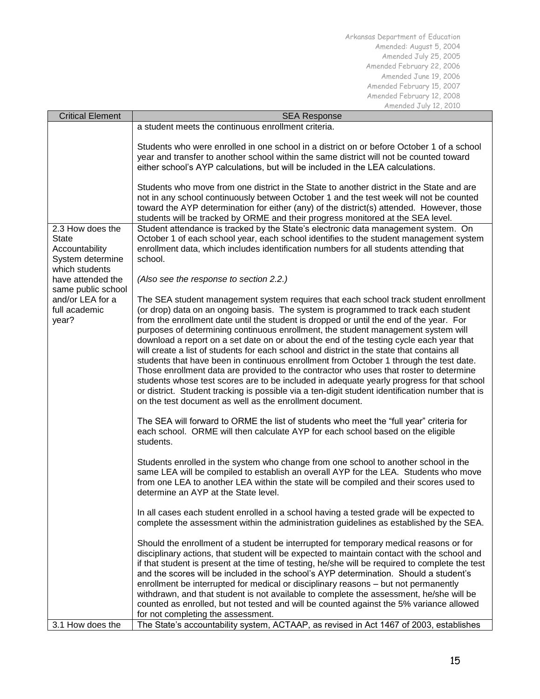| <b>Critical Element</b>                                                                  | <b>SEA Response</b>                                                                                                                                                                                                                                                                                                                                                                                                                                                                                                                                                                                                                                                                                                                                                                                                                                                                                                                                                                                 |  |
|------------------------------------------------------------------------------------------|-----------------------------------------------------------------------------------------------------------------------------------------------------------------------------------------------------------------------------------------------------------------------------------------------------------------------------------------------------------------------------------------------------------------------------------------------------------------------------------------------------------------------------------------------------------------------------------------------------------------------------------------------------------------------------------------------------------------------------------------------------------------------------------------------------------------------------------------------------------------------------------------------------------------------------------------------------------------------------------------------------|--|
|                                                                                          | a student meets the continuous enrollment criteria.                                                                                                                                                                                                                                                                                                                                                                                                                                                                                                                                                                                                                                                                                                                                                                                                                                                                                                                                                 |  |
|                                                                                          | Students who were enrolled in one school in a district on or before October 1 of a school<br>year and transfer to another school within the same district will not be counted toward<br>either school's AYP calculations, but will be included in the LEA calculations.                                                                                                                                                                                                                                                                                                                                                                                                                                                                                                                                                                                                                                                                                                                             |  |
|                                                                                          | Students who move from one district in the State to another district in the State and are<br>not in any school continuously between October 1 and the test week will not be counted<br>toward the AYP determination for either (any) of the district(s) attended. However, those<br>students will be tracked by ORME and their progress monitored at the SEA level.                                                                                                                                                                                                                                                                                                                                                                                                                                                                                                                                                                                                                                 |  |
| 2.3 How does the<br><b>State</b><br>Accountability<br>System determine<br>which students | Student attendance is tracked by the State's electronic data management system. On<br>October 1 of each school year, each school identifies to the student management system<br>enrollment data, which includes identification numbers for all students attending that<br>school.                                                                                                                                                                                                                                                                                                                                                                                                                                                                                                                                                                                                                                                                                                                   |  |
| have attended the                                                                        | (Also see the response to section 2.2.)                                                                                                                                                                                                                                                                                                                                                                                                                                                                                                                                                                                                                                                                                                                                                                                                                                                                                                                                                             |  |
| same public school<br>and/or LEA for a<br>full academic<br>year?                         | The SEA student management system requires that each school track student enrollment<br>(or drop) data on an ongoing basis. The system is programmed to track each student<br>from the enrollment date until the student is dropped or until the end of the year. For<br>purposes of determining continuous enrollment, the student management system will<br>download a report on a set date on or about the end of the testing cycle each year that<br>will create a list of students for each school and district in the state that contains all<br>students that have been in continuous enrollment from October 1 through the test date.<br>Those enrollment data are provided to the contractor who uses that roster to determine<br>students whose test scores are to be included in adequate yearly progress for that school<br>or district. Student tracking is possible via a ten-digit student identification number that is<br>on the test document as well as the enrollment document. |  |
|                                                                                          | The SEA will forward to ORME the list of students who meet the "full year" criteria for<br>each school. ORME will then calculate AYP for each school based on the eligible<br>students.                                                                                                                                                                                                                                                                                                                                                                                                                                                                                                                                                                                                                                                                                                                                                                                                             |  |
|                                                                                          | Students enrolled in the system who change from one school to another school in the<br>same LEA will be compiled to establish an overall AYP for the LEA. Students who move<br>from one LEA to another LEA within the state will be compiled and their scores used to<br>determine an AYP at the State level.                                                                                                                                                                                                                                                                                                                                                                                                                                                                                                                                                                                                                                                                                       |  |
|                                                                                          | In all cases each student enrolled in a school having a tested grade will be expected to<br>complete the assessment within the administration guidelines as established by the SEA.                                                                                                                                                                                                                                                                                                                                                                                                                                                                                                                                                                                                                                                                                                                                                                                                                 |  |
|                                                                                          | Should the enrollment of a student be interrupted for temporary medical reasons or for<br>disciplinary actions, that student will be expected to maintain contact with the school and<br>if that student is present at the time of testing, he/she will be required to complete the test<br>and the scores will be included in the school's AYP determination. Should a student's<br>enrollment be interrupted for medical or disciplinary reasons - but not permanently<br>withdrawn, and that student is not available to complete the assessment, he/she will be<br>counted as enrolled, but not tested and will be counted against the 5% variance allowed<br>for not completing the assessment.                                                                                                                                                                                                                                                                                                |  |
| 3.1 How does the                                                                         | The State's accountability system, ACTAAP, as revised in Act 1467 of 2003, establishes                                                                                                                                                                                                                                                                                                                                                                                                                                                                                                                                                                                                                                                                                                                                                                                                                                                                                                              |  |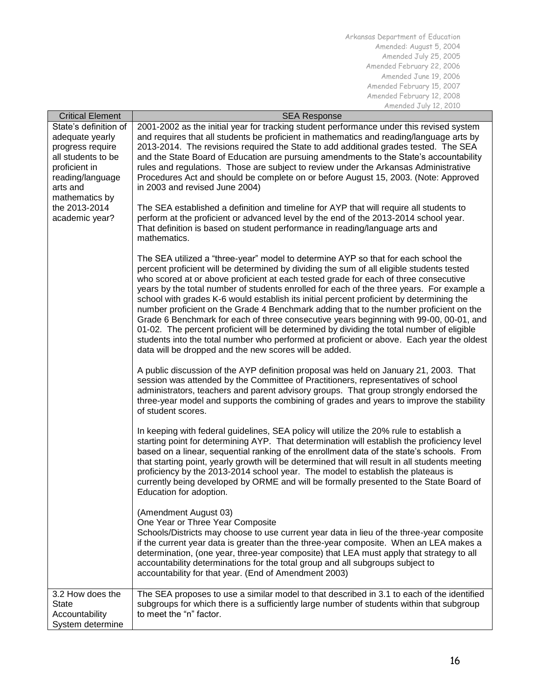| <b>Critical Element</b> | <b>SEA Response</b>                                                                                                                                                              |
|-------------------------|----------------------------------------------------------------------------------------------------------------------------------------------------------------------------------|
| State's definition of   | 2001-2002 as the initial year for tracking student performance under this revised system                                                                                         |
| adequate yearly         | and requires that all students be proficient in mathematics and reading/language arts by                                                                                         |
| progress require        | 2013-2014. The revisions required the State to add additional grades tested. The SEA                                                                                             |
| all students to be      | and the State Board of Education are pursuing amendments to the State's accountability                                                                                           |
| proficient in           | rules and regulations. Those are subject to review under the Arkansas Administrative                                                                                             |
| reading/language        | Procedures Act and should be complete on or before August 15, 2003. (Note: Approved                                                                                              |
| arts and                | in 2003 and revised June 2004)                                                                                                                                                   |
| mathematics by          |                                                                                                                                                                                  |
| the 2013-2014           | The SEA established a definition and timeline for AYP that will require all students to                                                                                          |
| academic year?          | perform at the proficient or advanced level by the end of the 2013-2014 school year.                                                                                             |
|                         | That definition is based on student performance in reading/language arts and                                                                                                     |
|                         | mathematics.                                                                                                                                                                     |
|                         |                                                                                                                                                                                  |
|                         | The SEA utilized a "three-year" model to determine AYP so that for each school the                                                                                               |
|                         | percent proficient will be determined by dividing the sum of all eligible students tested                                                                                        |
|                         | who scored at or above proficient at each tested grade for each of three consecutive                                                                                             |
|                         | years by the total number of students enrolled for each of the three years. For example a                                                                                        |
|                         | school with grades K-6 would establish its initial percent proficient by determining the                                                                                         |
|                         | number proficient on the Grade 4 Benchmark adding that to the number proficient on the<br>Grade 6 Benchmark for each of three consecutive years beginning with 99-00, 00-01, and |
|                         | 01-02. The percent proficient will be determined by dividing the total number of eligible                                                                                        |
|                         | students into the total number who performed at proficient or above. Each year the oldest                                                                                        |
|                         | data will be dropped and the new scores will be added.                                                                                                                           |
|                         |                                                                                                                                                                                  |
|                         | A public discussion of the AYP definition proposal was held on January 21, 2003. That                                                                                            |
|                         | session was attended by the Committee of Practitioners, representatives of school                                                                                                |
|                         | administrators, teachers and parent advisory groups. That group strongly endorsed the                                                                                            |
|                         | three-year model and supports the combining of grades and years to improve the stability                                                                                         |
|                         | of student scores.                                                                                                                                                               |
|                         |                                                                                                                                                                                  |
|                         | In keeping with federal guidelines, SEA policy will utilize the 20% rule to establish a                                                                                          |
|                         | starting point for determining AYP. That determination will establish the proficiency level                                                                                      |
|                         | based on a linear, sequential ranking of the enrollment data of the state's schools. From                                                                                        |
|                         | that starting point, yearly growth will be determined that will result in all students meeting                                                                                   |
|                         | proficiency by the 2013-2014 school year. The model to establish the plateaus is                                                                                                 |
|                         | currently being developed by ORME and will be formally presented to the State Board of                                                                                           |
|                         | Education for adoption.                                                                                                                                                          |
|                         |                                                                                                                                                                                  |
|                         | (Amendment August 03)                                                                                                                                                            |
|                         | One Year or Three Year Composite                                                                                                                                                 |
|                         | Schools/Districts may choose to use current year data in lieu of the three-year composite                                                                                        |
|                         | if the current year data is greater than the three-year composite. When an LEA makes a                                                                                           |
|                         | determination, (one year, three-year composite) that LEA must apply that strategy to all                                                                                         |
|                         | accountability determinations for the total group and all subgroups subject to                                                                                                   |
|                         | accountability for that year. (End of Amendment 2003)                                                                                                                            |
| 3.2 How does the        | The SEA proposes to use a similar model to that described in 3.1 to each of the identified                                                                                       |
| <b>State</b>            | subgroups for which there is a sufficiently large number of students within that subgroup                                                                                        |
| Accountability          | to meet the "n" factor.                                                                                                                                                          |
| System determine        |                                                                                                                                                                                  |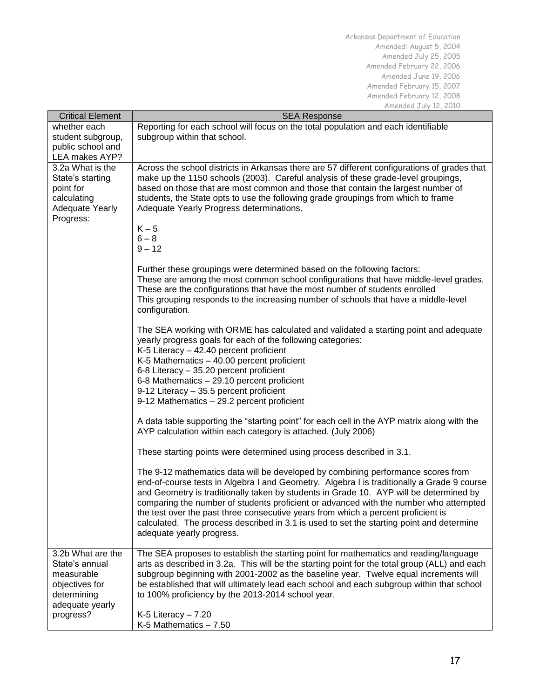| <b>Critical Element</b>                                                                                            | <b>SEA Response</b>                                                                                                                                                                                                                                                                                                                                                                                                                                                                                                                                                             |  |
|--------------------------------------------------------------------------------------------------------------------|---------------------------------------------------------------------------------------------------------------------------------------------------------------------------------------------------------------------------------------------------------------------------------------------------------------------------------------------------------------------------------------------------------------------------------------------------------------------------------------------------------------------------------------------------------------------------------|--|
| whether each                                                                                                       | Reporting for each school will focus on the total population and each identifiable                                                                                                                                                                                                                                                                                                                                                                                                                                                                                              |  |
| student subgroup,                                                                                                  | subgroup within that school.                                                                                                                                                                                                                                                                                                                                                                                                                                                                                                                                                    |  |
| public school and                                                                                                  |                                                                                                                                                                                                                                                                                                                                                                                                                                                                                                                                                                                 |  |
| LEA makes AYP?                                                                                                     |                                                                                                                                                                                                                                                                                                                                                                                                                                                                                                                                                                                 |  |
| 3.2a What is the<br>State's starting<br>point for<br>calculating<br><b>Adequate Yearly</b>                         | Across the school districts in Arkansas there are 57 different configurations of grades that<br>make up the 1150 schools (2003). Careful analysis of these grade-level groupings,<br>based on those that are most common and those that contain the largest number of<br>students, the State opts to use the following grade groupings from which to frame<br>Adequate Yearly Progress determinations.                                                                                                                                                                          |  |
| Progress:                                                                                                          | $K - 5$                                                                                                                                                                                                                                                                                                                                                                                                                                                                                                                                                                         |  |
|                                                                                                                    | $6 - 8$<br>$9 - 12$                                                                                                                                                                                                                                                                                                                                                                                                                                                                                                                                                             |  |
|                                                                                                                    | Further these groupings were determined based on the following factors:<br>These are among the most common school configurations that have middle-level grades.<br>These are the configurations that have the most number of students enrolled<br>This grouping responds to the increasing number of schools that have a middle-level<br>configuration.                                                                                                                                                                                                                         |  |
|                                                                                                                    | The SEA working with ORME has calculated and validated a starting point and adequate<br>yearly progress goals for each of the following categories:<br>K-5 Literacy - 42.40 percent proficient<br>K-5 Mathematics - 40.00 percent proficient<br>6-8 Literacy - 35.20 percent proficient<br>6-8 Mathematics - 29.10 percent proficient<br>9-12 Literacy - 35.5 percent proficient<br>9-12 Mathematics - 29.2 percent proficient                                                                                                                                                  |  |
|                                                                                                                    | A data table supporting the "starting point" for each cell in the AYP matrix along with the<br>AYP calculation within each category is attached. (July 2006)                                                                                                                                                                                                                                                                                                                                                                                                                    |  |
|                                                                                                                    | These starting points were determined using process described in 3.1.                                                                                                                                                                                                                                                                                                                                                                                                                                                                                                           |  |
|                                                                                                                    | The 9-12 mathematics data will be developed by combining performance scores from<br>end-of-course tests in Algebra I and Geometry. Algebra I is traditionally a Grade 9 course<br>and Geometry is traditionally taken by students in Grade 10. AYP will be determined by<br>comparing the number of students proficient or advanced with the number who attempted<br>the test over the past three consecutive years from which a percent proficient is<br>calculated. The process described in 3.1 is used to set the starting point and determine<br>adequate yearly progress. |  |
| 3.2b What are the<br>State's annual<br>measurable<br>objectives for<br>determining<br>adequate yearly<br>progress? | The SEA proposes to establish the starting point for mathematics and reading/language<br>arts as described in 3.2a. This will be the starting point for the total group (ALL) and each<br>subgroup beginning with 2001-2002 as the baseline year. Twelve equal increments will<br>be established that will ultimately lead each school and each subgroup within that school<br>to 100% proficiency by the 2013-2014 school year.<br>$K-5$ Literacy - $7.20$                                                                                                                     |  |
|                                                                                                                    | K-5 Mathematics $-7.50$                                                                                                                                                                                                                                                                                                                                                                                                                                                                                                                                                         |  |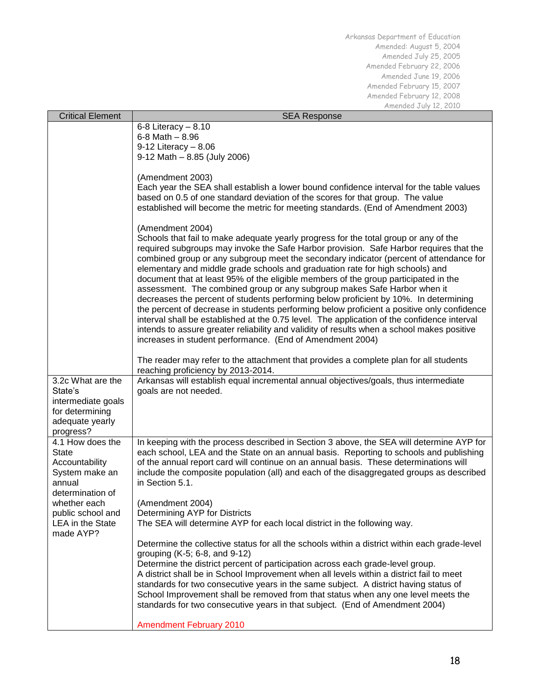| <b>Critical Element</b>                                                                                                                                            | <b>SEA Response</b>                                                                                                                                                                                                                                                                                                                                                                                                                                                                                                                                                                                                                                                                                                                                                                                                                                                                                                                                                                              |
|--------------------------------------------------------------------------------------------------------------------------------------------------------------------|--------------------------------------------------------------------------------------------------------------------------------------------------------------------------------------------------------------------------------------------------------------------------------------------------------------------------------------------------------------------------------------------------------------------------------------------------------------------------------------------------------------------------------------------------------------------------------------------------------------------------------------------------------------------------------------------------------------------------------------------------------------------------------------------------------------------------------------------------------------------------------------------------------------------------------------------------------------------------------------------------|
|                                                                                                                                                                    | $6-8$ Literacy $-8.10$<br>$6 - 8$ Math $- 8.96$                                                                                                                                                                                                                                                                                                                                                                                                                                                                                                                                                                                                                                                                                                                                                                                                                                                                                                                                                  |
|                                                                                                                                                                    | $9-12$ Literacy - 8.06<br>9-12 Math - 8.85 (July 2006)                                                                                                                                                                                                                                                                                                                                                                                                                                                                                                                                                                                                                                                                                                                                                                                                                                                                                                                                           |
|                                                                                                                                                                    | (Amendment 2003)<br>Each year the SEA shall establish a lower bound confidence interval for the table values<br>based on 0.5 of one standard deviation of the scores for that group. The value<br>established will become the metric for meeting standards. (End of Amendment 2003)                                                                                                                                                                                                                                                                                                                                                                                                                                                                                                                                                                                                                                                                                                              |
|                                                                                                                                                                    | (Amendment 2004)<br>Schools that fail to make adequate yearly progress for the total group or any of the<br>required subgroups may invoke the Safe Harbor provision. Safe Harbor requires that the<br>combined group or any subgroup meet the secondary indicator (percent of attendance for<br>elementary and middle grade schools and graduation rate for high schools) and<br>document that at least 95% of the eligible members of the group participated in the<br>assessment. The combined group or any subgroup makes Safe Harbor when it<br>decreases the percent of students performing below proficient by 10%. In determining<br>the percent of decrease in students performing below proficient a positive only confidence<br>interval shall be established at the 0.75 level. The application of the confidence interval<br>intends to assure greater reliability and validity of results when a school makes positive<br>increases in student performance. (End of Amendment 2004) |
|                                                                                                                                                                    | The reader may refer to the attachment that provides a complete plan for all students<br>reaching proficiency by 2013-2014.                                                                                                                                                                                                                                                                                                                                                                                                                                                                                                                                                                                                                                                                                                                                                                                                                                                                      |
| 3.2c What are the<br>State's<br>intermediate goals<br>for determining<br>adequate yearly<br>progress?                                                              | Arkansas will establish equal incremental annual objectives/goals, thus intermediate<br>goals are not needed.                                                                                                                                                                                                                                                                                                                                                                                                                                                                                                                                                                                                                                                                                                                                                                                                                                                                                    |
| 4.1 How does the<br><b>State</b><br>Accountability<br>System make an<br>annual<br>determination of<br>whether each<br>public school and<br><b>LEA</b> in the State | In keeping with the process described in Section 3 above, the SEA will determine AYP for<br>each school, LEA and the State on an annual basis. Reporting to schools and publishing<br>of the annual report card will continue on an annual basis. These determinations will<br>include the composite population (all) and each of the disaggregated groups as described<br>in Section 5.1.<br>(Amendment 2004)<br>Determining AYP for Districts<br>The SEA will determine AYP for each local district in the following way.                                                                                                                                                                                                                                                                                                                                                                                                                                                                      |
| made AYP?                                                                                                                                                          | Determine the collective status for all the schools within a district within each grade-level<br>grouping (K-5; 6-8, and 9-12)<br>Determine the district percent of participation across each grade-level group.<br>A district shall be in School Improvement when all levels within a district fail to meet<br>standards for two consecutive years in the same subject. A district having status of<br>School Improvement shall be removed from that status when any one level meets the                                                                                                                                                                                                                                                                                                                                                                                                                                                                                                        |
|                                                                                                                                                                    | standards for two consecutive years in that subject. (End of Amendment 2004)<br><b>Amendment February 2010</b>                                                                                                                                                                                                                                                                                                                                                                                                                                                                                                                                                                                                                                                                                                                                                                                                                                                                                   |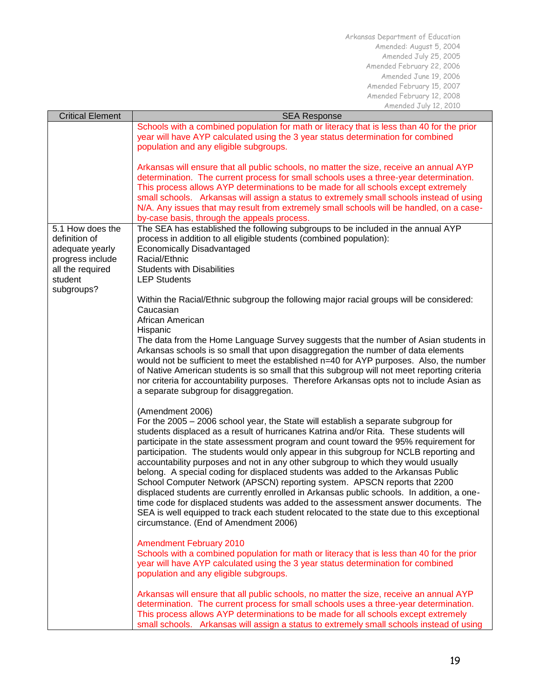| <b>Critical Element</b>                                                                                               | MITCHUCU JUIY IL, LUIU<br><b>SEA Response</b>                                                                                                                                                                                                                                                                                                                                                                                                                                                                                                                                                                                                                                                                                                                                                                                                                                                                                                                  |
|-----------------------------------------------------------------------------------------------------------------------|----------------------------------------------------------------------------------------------------------------------------------------------------------------------------------------------------------------------------------------------------------------------------------------------------------------------------------------------------------------------------------------------------------------------------------------------------------------------------------------------------------------------------------------------------------------------------------------------------------------------------------------------------------------------------------------------------------------------------------------------------------------------------------------------------------------------------------------------------------------------------------------------------------------------------------------------------------------|
|                                                                                                                       | Schools with a combined population for math or literacy that is less than 40 for the prior<br>year will have AYP calculated using the 3 year status determination for combined<br>population and any eligible subgroups.                                                                                                                                                                                                                                                                                                                                                                                                                                                                                                                                                                                                                                                                                                                                       |
|                                                                                                                       | Arkansas will ensure that all public schools, no matter the size, receive an annual AYP<br>determination. The current process for small schools uses a three-year determination.<br>This process allows AYP determinations to be made for all schools except extremely<br>small schools. Arkansas will assign a status to extremely small schools instead of using<br>N/A. Any issues that may result from extremely small schools will be handled, on a case-<br>by-case basis, through the appeals process.                                                                                                                                                                                                                                                                                                                                                                                                                                                  |
| 5.1 How does the<br>definition of<br>adequate yearly<br>progress include<br>all the required<br>student<br>subgroups? | The SEA has established the following subgroups to be included in the annual AYP<br>process in addition to all eligible students (combined population):<br><b>Economically Disadvantaged</b><br>Racial/Ethnic<br><b>Students with Disabilities</b><br><b>LEP Students</b>                                                                                                                                                                                                                                                                                                                                                                                                                                                                                                                                                                                                                                                                                      |
|                                                                                                                       | Within the Racial/Ethnic subgroup the following major racial groups will be considered:<br>Caucasian<br>African American<br>Hispanic<br>The data from the Home Language Survey suggests that the number of Asian students in<br>Arkansas schools is so small that upon disaggregation the number of data elements<br>would not be sufficient to meet the established n=40 for AYP purposes. Also, the number<br>of Native American students is so small that this subgroup will not meet reporting criteria<br>nor criteria for accountability purposes. Therefore Arkansas opts not to include Asian as<br>a separate subgroup for disaggregation.                                                                                                                                                                                                                                                                                                            |
|                                                                                                                       | (Amendment 2006)<br>For the 2005 - 2006 school year, the State will establish a separate subgroup for<br>students displaced as a result of hurricanes Katrina and/or Rita. These students will<br>participate in the state assessment program and count toward the 95% requirement for<br>participation. The students would only appear in this subgroup for NCLB reporting and<br>accountability purposes and not in any other subgroup to which they would usually<br>belong. A special coding for displaced students was added to the Arkansas Public<br>School Computer Network (APSCN) reporting system. APSCN reports that 2200<br>displaced students are currently enrolled in Arkansas public schools. In addition, a one-<br>time code for displaced students was added to the assessment answer documents. The<br>SEA is well equipped to track each student relocated to the state due to this exceptional<br>circumstance. (End of Amendment 2006) |
|                                                                                                                       | <b>Amendment February 2010</b><br>Schools with a combined population for math or literacy that is less than 40 for the prior<br>year will have AYP calculated using the 3 year status determination for combined<br>population and any eligible subgroups.                                                                                                                                                                                                                                                                                                                                                                                                                                                                                                                                                                                                                                                                                                     |
|                                                                                                                       | Arkansas will ensure that all public schools, no matter the size, receive an annual AYP<br>determination. The current process for small schools uses a three-year determination.<br>This process allows AYP determinations to be made for all schools except extremely<br>small schools. Arkansas will assign a status to extremely small schools instead of using                                                                                                                                                                                                                                                                                                                                                                                                                                                                                                                                                                                             |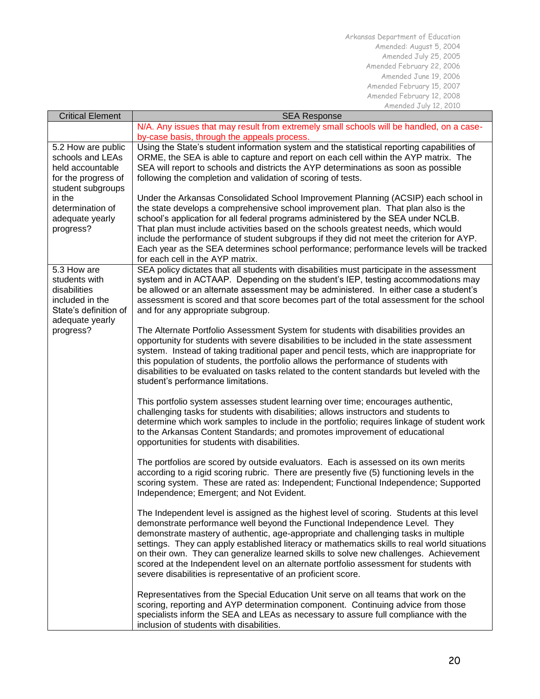| <b>Critical Element</b> | <b>SEA Response</b>                                                                                                                                                      |  |
|-------------------------|--------------------------------------------------------------------------------------------------------------------------------------------------------------------------|--|
|                         | N/A. Any issues that may result from extremely small schools will be handled, on a case-                                                                                 |  |
|                         | by-case basis, through the appeals process.                                                                                                                              |  |
| 5.2 How are public      | Using the State's student information system and the statistical reporting capabilities of                                                                               |  |
| schools and LEAs        | ORME, the SEA is able to capture and report on each cell within the AYP matrix. The                                                                                      |  |
| held accountable        | SEA will report to schools and districts the AYP determinations as soon as possible                                                                                      |  |
| for the progress of     | following the completion and validation of scoring of tests.                                                                                                             |  |
| student subgroups       |                                                                                                                                                                          |  |
| in the                  | Under the Arkansas Consolidated School Improvement Planning (ACSIP) each school in                                                                                       |  |
| determination of        | the state develops a comprehensive school improvement plan. That plan also is the                                                                                        |  |
| adequate yearly         | school's application for all federal programs administered by the SEA under NCLB.                                                                                        |  |
| progress?               | That plan must include activities based on the schools greatest needs, which would                                                                                       |  |
|                         | include the performance of student subgroups if they did not meet the criterion for AYP.                                                                                 |  |
|                         | Each year as the SEA determines school performance; performance levels will be tracked                                                                                   |  |
| 5.3 How are             | for each cell in the AYP matrix.<br>SEA policy dictates that all students with disabilities must participate in the assessment                                           |  |
| students with           | system and in ACTAAP. Depending on the student's IEP, testing accommodations may                                                                                         |  |
| disabilities            | be allowed or an alternate assessment may be administered. In either case a student's                                                                                    |  |
| included in the         | assessment is scored and that score becomes part of the total assessment for the school                                                                                  |  |
| State's definition of   | and for any appropriate subgroup.                                                                                                                                        |  |
| adequate yearly         |                                                                                                                                                                          |  |
| progress?               | The Alternate Portfolio Assessment System for students with disabilities provides an                                                                                     |  |
|                         | opportunity for students with severe disabilities to be included in the state assessment                                                                                 |  |
|                         | system. Instead of taking traditional paper and pencil tests, which are inappropriate for                                                                                |  |
|                         | this population of students, the portfolio allows the performance of students with                                                                                       |  |
|                         | disabilities to be evaluated on tasks related to the content standards but leveled with the                                                                              |  |
|                         | student's performance limitations.                                                                                                                                       |  |
|                         |                                                                                                                                                                          |  |
|                         | This portfolio system assesses student learning over time; encourages authentic,<br>challenging tasks for students with disabilities; allows instructors and students to |  |
|                         | determine which work samples to include in the portfolio; requires linkage of student work                                                                               |  |
|                         | to the Arkansas Content Standards; and promotes improvement of educational                                                                                               |  |
|                         | opportunities for students with disabilities.                                                                                                                            |  |
|                         |                                                                                                                                                                          |  |
|                         | The portfolios are scored by outside evaluators. Each is assessed on its own merits                                                                                      |  |
|                         | according to a rigid scoring rubric. There are presently five (5) functioning levels in the                                                                              |  |
|                         | scoring system. These are rated as: Independent; Functional Independence; Supported                                                                                      |  |
|                         | Independence; Emergent; and Not Evident.                                                                                                                                 |  |
|                         |                                                                                                                                                                          |  |
|                         | The Independent level is assigned as the highest level of scoring. Students at this level                                                                                |  |
|                         | demonstrate performance well beyond the Functional Independence Level. They                                                                                              |  |
|                         | demonstrate mastery of authentic, age-appropriate and challenging tasks in multiple                                                                                      |  |
|                         | settings. They can apply established literacy or mathematics skills to real world situations                                                                             |  |
|                         | on their own. They can generalize learned skills to solve new challenges. Achievement                                                                                    |  |
|                         | scored at the Independent level on an alternate portfolio assessment for students with                                                                                   |  |
|                         | severe disabilities is representative of an proficient score.                                                                                                            |  |
|                         | Representatives from the Special Education Unit serve on all teams that work on the                                                                                      |  |
|                         | scoring, reporting and AYP determination component. Continuing advice from those                                                                                         |  |
|                         | specialists inform the SEA and LEAs as necessary to assure full compliance with the                                                                                      |  |
|                         | inclusion of students with disabilities.                                                                                                                                 |  |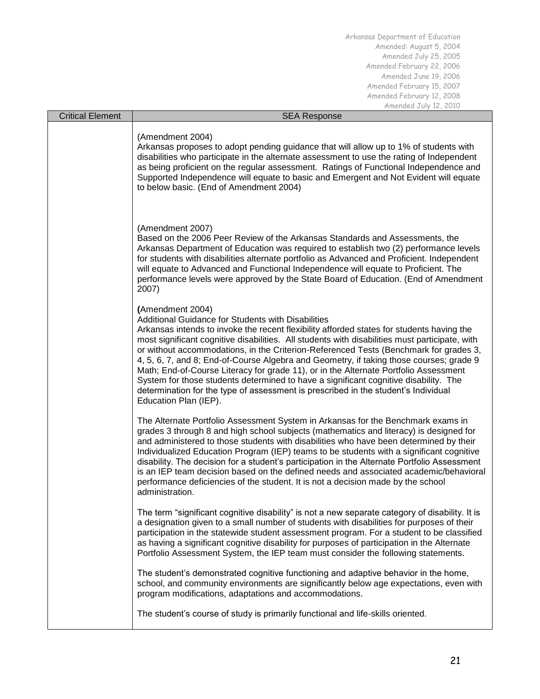| <b>Critical Element</b> | <b>SEA Response</b>                                                                                                                                                                                                                                                                                                                                                                                                                                                                                                                                                                                                                                                                                                                                      |
|-------------------------|----------------------------------------------------------------------------------------------------------------------------------------------------------------------------------------------------------------------------------------------------------------------------------------------------------------------------------------------------------------------------------------------------------------------------------------------------------------------------------------------------------------------------------------------------------------------------------------------------------------------------------------------------------------------------------------------------------------------------------------------------------|
|                         | (Amendment 2004)<br>Arkansas proposes to adopt pending guidance that will allow up to 1% of students with<br>disabilities who participate in the alternate assessment to use the rating of Independent<br>as being proficient on the regular assessment. Ratings of Functional Independence and<br>Supported Independence will equate to basic and Emergent and Not Evident will equate<br>to below basic. (End of Amendment 2004)                                                                                                                                                                                                                                                                                                                       |
|                         | (Amendment 2007)<br>Based on the 2006 Peer Review of the Arkansas Standards and Assessments, the<br>Arkansas Department of Education was required to establish two (2) performance levels<br>for students with disabilities alternate portfolio as Advanced and Proficient. Independent<br>will equate to Advanced and Functional Independence will equate to Proficient. The<br>performance levels were approved by the State Board of Education. (End of Amendment<br>2007)                                                                                                                                                                                                                                                                            |
|                         | (Amendment 2004)<br>Additional Guidance for Students with Disabilities<br>Arkansas intends to invoke the recent flexibility afforded states for students having the<br>most significant cognitive disabilities. All students with disabilities must participate, with<br>or without accommodations, in the Criterion-Referenced Tests (Benchmark for grades 3,<br>4, 5, 6, 7, and 8; End-of-Course Algebra and Geometry, if taking those courses; grade 9<br>Math; End-of-Course Literacy for grade 11), or in the Alternate Portfolio Assessment<br>System for those students determined to have a significant cognitive disability. The<br>determination for the type of assessment is prescribed in the student's Individual<br>Education Plan (IEP). |
|                         | The Alternate Portfolio Assessment System in Arkansas for the Benchmark exams in<br>grades 3 through 8 and high school subjects (mathematics and literacy) is designed for<br>and administered to those students with disabilities who have been determined by their<br>Individualized Education Program (IEP) teams to be students with a significant cognitive<br>disability. The decision for a student's participation in the Alternate Portfolio Assessment<br>is an IEP team decision based on the defined needs and associated academic/behavioral<br>performance deficiencies of the student. It is not a decision made by the school<br>administration.                                                                                         |
|                         | The term "significant cognitive disability" is not a new separate category of disability. It is<br>a designation given to a small number of students with disabilities for purposes of their<br>participation in the statewide student assessment program. For a student to be classified<br>as having a significant cognitive disability for purposes of participation in the Alternate<br>Portfolio Assessment System, the IEP team must consider the following statements.                                                                                                                                                                                                                                                                            |
|                         | The student's demonstrated cognitive functioning and adaptive behavior in the home,<br>school, and community environments are significantly below age expectations, even with<br>program modifications, adaptations and accommodations.                                                                                                                                                                                                                                                                                                                                                                                                                                                                                                                  |
|                         | The student's course of study is primarily functional and life-skills oriented.                                                                                                                                                                                                                                                                                                                                                                                                                                                                                                                                                                                                                                                                          |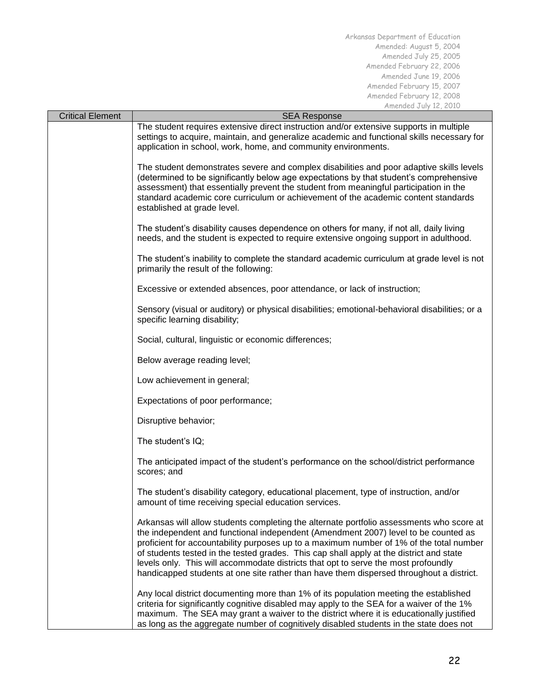| <b>Critical Element</b> | <b>SEA Response</b>                                                                                                                                                                                                                                                                                                                                                                                                                                                                                                                                   |  |
|-------------------------|-------------------------------------------------------------------------------------------------------------------------------------------------------------------------------------------------------------------------------------------------------------------------------------------------------------------------------------------------------------------------------------------------------------------------------------------------------------------------------------------------------------------------------------------------------|--|
|                         | The student requires extensive direct instruction and/or extensive supports in multiple<br>settings to acquire, maintain, and generalize academic and functional skills necessary for<br>application in school, work, home, and community environments.                                                                                                                                                                                                                                                                                               |  |
|                         | The student demonstrates severe and complex disabilities and poor adaptive skills levels<br>(determined to be significantly below age expectations by that student's comprehensive<br>assessment) that essentially prevent the student from meaningful participation in the<br>standard academic core curriculum or achievement of the academic content standards<br>established at grade level.                                                                                                                                                      |  |
|                         | The student's disability causes dependence on others for many, if not all, daily living<br>needs, and the student is expected to require extensive ongoing support in adulthood.                                                                                                                                                                                                                                                                                                                                                                      |  |
|                         | The student's inability to complete the standard academic curriculum at grade level is not<br>primarily the result of the following:                                                                                                                                                                                                                                                                                                                                                                                                                  |  |
|                         | Excessive or extended absences, poor attendance, or lack of instruction;                                                                                                                                                                                                                                                                                                                                                                                                                                                                              |  |
|                         | Sensory (visual or auditory) or physical disabilities; emotional-behavioral disabilities; or a<br>specific learning disability;                                                                                                                                                                                                                                                                                                                                                                                                                       |  |
|                         | Social, cultural, linguistic or economic differences;                                                                                                                                                                                                                                                                                                                                                                                                                                                                                                 |  |
|                         | Below average reading level;                                                                                                                                                                                                                                                                                                                                                                                                                                                                                                                          |  |
|                         | Low achievement in general;                                                                                                                                                                                                                                                                                                                                                                                                                                                                                                                           |  |
|                         | Expectations of poor performance;                                                                                                                                                                                                                                                                                                                                                                                                                                                                                                                     |  |
|                         | Disruptive behavior;                                                                                                                                                                                                                                                                                                                                                                                                                                                                                                                                  |  |
|                         | The student's IQ;                                                                                                                                                                                                                                                                                                                                                                                                                                                                                                                                     |  |
|                         | The anticipated impact of the student's performance on the school/district performance<br>scores; and                                                                                                                                                                                                                                                                                                                                                                                                                                                 |  |
|                         | The student's disability category, educational placement, type of instruction, and/or<br>amount of time receiving special education services.                                                                                                                                                                                                                                                                                                                                                                                                         |  |
|                         | Arkansas will allow students completing the alternate portfolio assessments who score at<br>the independent and functional independent (Amendment 2007) level to be counted as<br>proficient for accountability purposes up to a maximum number of 1% of the total number<br>of students tested in the tested grades. This cap shall apply at the district and state<br>levels only. This will accommodate districts that opt to serve the most profoundly<br>handicapped students at one site rather than have them dispersed throughout a district. |  |
|                         | Any local district documenting more than 1% of its population meeting the established<br>criteria for significantly cognitive disabled may apply to the SEA for a waiver of the 1%<br>maximum. The SEA may grant a waiver to the district where it is educationally justified<br>as long as the aggregate number of cognitively disabled students in the state does not                                                                                                                                                                               |  |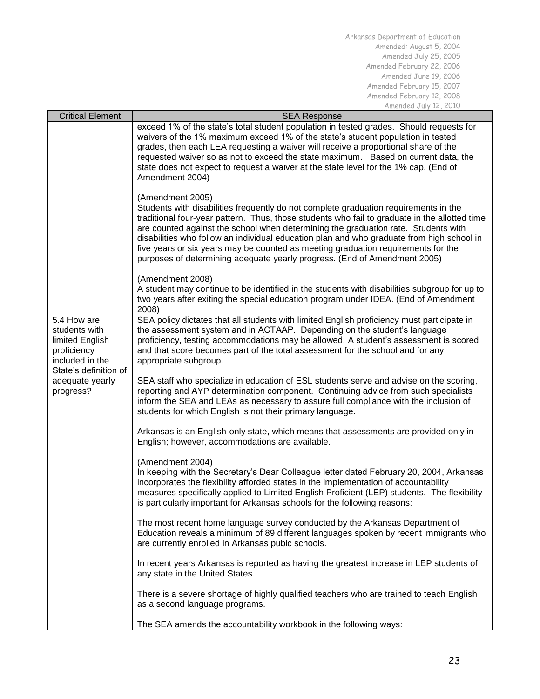| <b>Critical Element</b>                                                                                                                    | $\frac{1}{2}$<br><b>SEA Response</b>                                                                                                                                                                                                                                                                                                                                                                                                                                                                                                                           |
|--------------------------------------------------------------------------------------------------------------------------------------------|----------------------------------------------------------------------------------------------------------------------------------------------------------------------------------------------------------------------------------------------------------------------------------------------------------------------------------------------------------------------------------------------------------------------------------------------------------------------------------------------------------------------------------------------------------------|
|                                                                                                                                            | exceed 1% of the state's total student population in tested grades. Should requests for<br>waivers of the 1% maximum exceed 1% of the state's student population in tested<br>grades, then each LEA requesting a waiver will receive a proportional share of the<br>requested waiver so as not to exceed the state maximum. Based on current data, the<br>state does not expect to request a waiver at the state level for the 1% cap. (End of<br>Amendment 2004)                                                                                              |
|                                                                                                                                            | (Amendment 2005)<br>Students with disabilities frequently do not complete graduation requirements in the<br>traditional four-year pattern. Thus, those students who fail to graduate in the allotted time<br>are counted against the school when determining the graduation rate. Students with<br>disabilities who follow an individual education plan and who graduate from high school in<br>five years or six years may be counted as meeting graduation requirements for the<br>purposes of determining adequate yearly progress. (End of Amendment 2005) |
|                                                                                                                                            | (Amendment 2008)<br>A student may continue to be identified in the students with disabilities subgroup for up to<br>two years after exiting the special education program under IDEA. (End of Amendment<br>2008)                                                                                                                                                                                                                                                                                                                                               |
| 5.4 How are<br>students with<br>limited English<br>proficiency<br>included in the<br>State's definition of<br>adequate yearly<br>progress? | SEA policy dictates that all students with limited English proficiency must participate in<br>the assessment system and in ACTAAP. Depending on the student's language<br>proficiency, testing accommodations may be allowed. A student's assessment is scored<br>and that score becomes part of the total assessment for the school and for any<br>appropriate subgroup.                                                                                                                                                                                      |
|                                                                                                                                            | SEA staff who specialize in education of ESL students serve and advise on the scoring,<br>reporting and AYP determination component. Continuing advice from such specialists<br>inform the SEA and LEAs as necessary to assure full compliance with the inclusion of<br>students for which English is not their primary language.                                                                                                                                                                                                                              |
|                                                                                                                                            | Arkansas is an English-only state, which means that assessments are provided only in<br>English; however, accommodations are available.                                                                                                                                                                                                                                                                                                                                                                                                                        |
|                                                                                                                                            | (Amendment 2004)<br>In keeping with the Secretary's Dear Colleague letter dated February 20, 2004, Arkansas<br>incorporates the flexibility afforded states in the implementation of accountability<br>measures specifically applied to Limited English Proficient (LEP) students. The flexibility<br>is particularly important for Arkansas schools for the following reasons:                                                                                                                                                                                |
|                                                                                                                                            | The most recent home language survey conducted by the Arkansas Department of<br>Education reveals a minimum of 89 different languages spoken by recent immigrants who<br>are currently enrolled in Arkansas pubic schools.                                                                                                                                                                                                                                                                                                                                     |
|                                                                                                                                            | In recent years Arkansas is reported as having the greatest increase in LEP students of<br>any state in the United States.                                                                                                                                                                                                                                                                                                                                                                                                                                     |
|                                                                                                                                            | There is a severe shortage of highly qualified teachers who are trained to teach English<br>as a second language programs.                                                                                                                                                                                                                                                                                                                                                                                                                                     |
|                                                                                                                                            | The SEA amends the accountability workbook in the following ways:                                                                                                                                                                                                                                                                                                                                                                                                                                                                                              |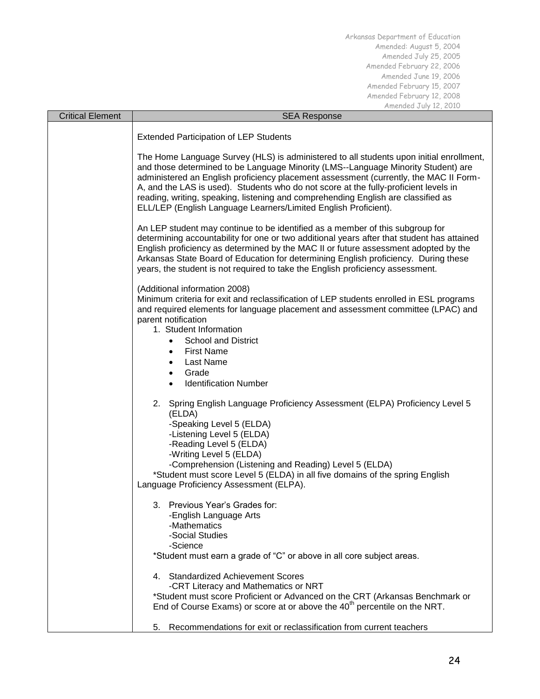| <b>Critical Element</b> | <b>SEA Response</b>                                                                                                                                                                                                                                                                                                                                                                                                                                                                                                   |  |
|-------------------------|-----------------------------------------------------------------------------------------------------------------------------------------------------------------------------------------------------------------------------------------------------------------------------------------------------------------------------------------------------------------------------------------------------------------------------------------------------------------------------------------------------------------------|--|
|                         | <b>Extended Participation of LEP Students</b>                                                                                                                                                                                                                                                                                                                                                                                                                                                                         |  |
|                         | The Home Language Survey (HLS) is administered to all students upon initial enrollment,<br>and those determined to be Language Minority (LMS--Language Minority Student) are<br>administered an English proficiency placement assessment (currently, the MAC II Form-<br>A, and the LAS is used). Students who do not score at the fully-proficient levels in<br>reading, writing, speaking, listening and comprehending English are classified as<br>ELL/LEP (English Language Learners/Limited English Proficient). |  |
|                         | An LEP student may continue to be identified as a member of this subgroup for<br>determining accountability for one or two additional years after that student has attained<br>English proficiency as determined by the MAC II or future assessment adopted by the<br>Arkansas State Board of Education for determining English proficiency. During these<br>years, the student is not required to take the English proficiency assessment.                                                                           |  |
|                         | (Additional information 2008)<br>Minimum criteria for exit and reclassification of LEP students enrolled in ESL programs<br>and required elements for language placement and assessment committee (LPAC) and<br>parent notification<br>1. Student Information<br><b>School and District</b><br><b>First Name</b><br><b>Last Name</b><br>٠<br>Grade<br>$\bullet$<br><b>Identification Number</b><br>$\bullet$                                                                                                          |  |
|                         | 2. Spring English Language Proficiency Assessment (ELPA) Proficiency Level 5<br>(ELDA)<br>-Speaking Level 5 (ELDA)<br>-Listening Level 5 (ELDA)<br>-Reading Level 5 (ELDA)<br>-Writing Level 5 (ELDA)<br>-Comprehension (Listening and Reading) Level 5 (ELDA)<br>*Student must score Level 5 (ELDA) in all five domains of the spring English<br>Language Proficiency Assessment (ELPA).                                                                                                                             |  |
|                         | Previous Year's Grades for:<br>3.<br>-English Language Arts<br>-Mathematics<br>-Social Studies<br>-Science                                                                                                                                                                                                                                                                                                                                                                                                            |  |
|                         | *Student must earn a grade of "C" or above in all core subject areas.                                                                                                                                                                                                                                                                                                                                                                                                                                                 |  |
|                         | 4. Standardized Achievement Scores<br>-CRT Literacy and Mathematics or NRT<br>*Student must score Proficient or Advanced on the CRT (Arkansas Benchmark or<br>End of Course Exams) or score at or above the 40 <sup>th</sup> percentile on the NRT.                                                                                                                                                                                                                                                                   |  |
|                         | Recommendations for exit or reclassification from current teachers<br>5.                                                                                                                                                                                                                                                                                                                                                                                                                                              |  |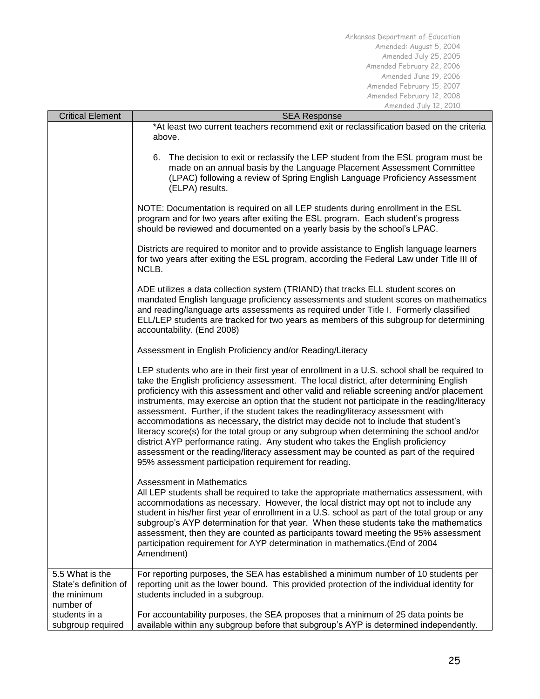| <b>Critical Element</b>                                              | <b>SEA Response</b>                                                                                                                                                                                                                                                                                                                                                                                                                                                                                                                                                                                                                                                                                                                                                                                                                                                                       |  |  |  |  |  |
|----------------------------------------------------------------------|-------------------------------------------------------------------------------------------------------------------------------------------------------------------------------------------------------------------------------------------------------------------------------------------------------------------------------------------------------------------------------------------------------------------------------------------------------------------------------------------------------------------------------------------------------------------------------------------------------------------------------------------------------------------------------------------------------------------------------------------------------------------------------------------------------------------------------------------------------------------------------------------|--|--|--|--|--|
|                                                                      | *At least two current teachers recommend exit or reclassification based on the criteria<br>above.                                                                                                                                                                                                                                                                                                                                                                                                                                                                                                                                                                                                                                                                                                                                                                                         |  |  |  |  |  |
|                                                                      | The decision to exit or reclassify the LEP student from the ESL program must be<br>6.<br>made on an annual basis by the Language Placement Assessment Committee<br>(LPAC) following a review of Spring English Language Proficiency Assessment<br>(ELPA) results.                                                                                                                                                                                                                                                                                                                                                                                                                                                                                                                                                                                                                         |  |  |  |  |  |
|                                                                      | NOTE: Documentation is required on all LEP students during enrollment in the ESL<br>program and for two years after exiting the ESL program. Each student's progress<br>should be reviewed and documented on a yearly basis by the school's LPAC.                                                                                                                                                                                                                                                                                                                                                                                                                                                                                                                                                                                                                                         |  |  |  |  |  |
|                                                                      | Districts are required to monitor and to provide assistance to English language learners<br>for two years after exiting the ESL program, according the Federal Law under Title III of<br>NCLB.                                                                                                                                                                                                                                                                                                                                                                                                                                                                                                                                                                                                                                                                                            |  |  |  |  |  |
|                                                                      | ADE utilizes a data collection system (TRIAND) that tracks ELL student scores on<br>mandated English language proficiency assessments and student scores on mathematics<br>and reading/language arts assessments as required under Title I. Formerly classified<br>ELL/LEP students are tracked for two years as members of this subgroup for determining<br>accountability. (End 2008)                                                                                                                                                                                                                                                                                                                                                                                                                                                                                                   |  |  |  |  |  |
|                                                                      | Assessment in English Proficiency and/or Reading/Literacy                                                                                                                                                                                                                                                                                                                                                                                                                                                                                                                                                                                                                                                                                                                                                                                                                                 |  |  |  |  |  |
|                                                                      | LEP students who are in their first year of enrollment in a U.S. school shall be required to<br>take the English proficiency assessment. The local district, after determining English<br>proficiency with this assessment and other valid and reliable screening and/or placement<br>instruments, may exercise an option that the student not participate in the reading/literacy<br>assessment. Further, if the student takes the reading/literacy assessment with<br>accommodations as necessary, the district may decide not to include that student's<br>literacy score(s) for the total group or any subgroup when determining the school and/or<br>district AYP performance rating. Any student who takes the English proficiency<br>assessment or the reading/literacy assessment may be counted as part of the required<br>95% assessment participation requirement for reading. |  |  |  |  |  |
|                                                                      | <b>Assessment in Mathematics</b><br>All LEP students shall be required to take the appropriate mathematics assessment, with<br>accommodations as necessary. However, the local district may opt not to include any<br>student in his/her first year of enrollment in a U.S. school as part of the total group or any<br>subgroup's AYP determination for that year. When these students take the mathematics<br>assessment, then they are counted as participants toward meeting the 95% assessment<br>participation requirement for AYP determination in mathematics. (End of 2004<br>Amendment)                                                                                                                                                                                                                                                                                         |  |  |  |  |  |
| 5.5 What is the<br>State's definition of<br>the minimum<br>number of | For reporting purposes, the SEA has established a minimum number of 10 students per<br>reporting unit as the lower bound. This provided protection of the individual identity for<br>students included in a subgroup.                                                                                                                                                                                                                                                                                                                                                                                                                                                                                                                                                                                                                                                                     |  |  |  |  |  |
| students in a<br>subgroup required                                   | For accountability purposes, the SEA proposes that a minimum of 25 data points be<br>available within any subgroup before that subgroup's AYP is determined independently.                                                                                                                                                                                                                                                                                                                                                                                                                                                                                                                                                                                                                                                                                                                |  |  |  |  |  |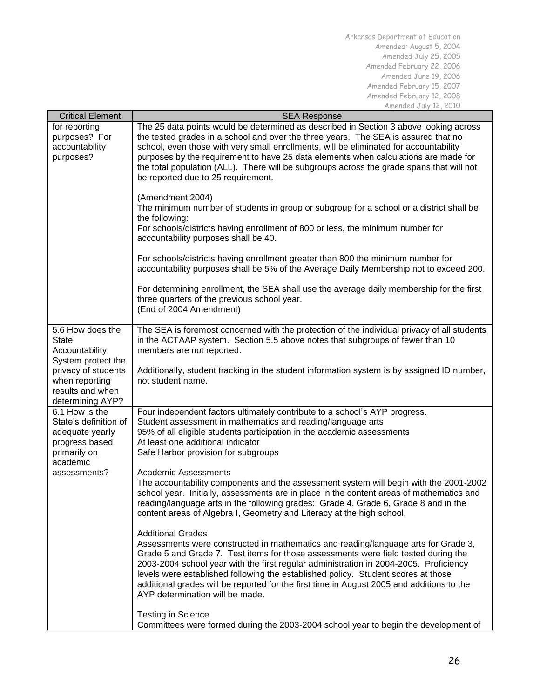| <b>Critical Element</b>              | <b>SEA Response</b>                                                                                                                                                         |  |  |  |  |
|--------------------------------------|-----------------------------------------------------------------------------------------------------------------------------------------------------------------------------|--|--|--|--|
| for reporting                        | The 25 data points would be determined as described in Section 3 above looking across                                                                                       |  |  |  |  |
| purposes? For                        | the tested grades in a school and over the three years. The SEA is assured that no                                                                                          |  |  |  |  |
| accountability                       | school, even those with very small enrollments, will be eliminated for accountability                                                                                       |  |  |  |  |
| purposes?                            | purposes by the requirement to have 25 data elements when calculations are made for                                                                                         |  |  |  |  |
|                                      | the total population (ALL). There will be subgroups across the grade spans that will not                                                                                    |  |  |  |  |
|                                      | be reported due to 25 requirement.                                                                                                                                          |  |  |  |  |
|                                      |                                                                                                                                                                             |  |  |  |  |
|                                      | (Amendment 2004)                                                                                                                                                            |  |  |  |  |
|                                      | The minimum number of students in group or subgroup for a school or a district shall be                                                                                     |  |  |  |  |
|                                      | the following:                                                                                                                                                              |  |  |  |  |
|                                      | For schools/districts having enrollment of 800 or less, the minimum number for                                                                                              |  |  |  |  |
|                                      | accountability purposes shall be 40.                                                                                                                                        |  |  |  |  |
|                                      | For schools/districts having enrollment greater than 800 the minimum number for                                                                                             |  |  |  |  |
|                                      | accountability purposes shall be 5% of the Average Daily Membership not to exceed 200.                                                                                      |  |  |  |  |
|                                      |                                                                                                                                                                             |  |  |  |  |
|                                      | For determining enrollment, the SEA shall use the average daily membership for the first                                                                                    |  |  |  |  |
|                                      | three quarters of the previous school year.                                                                                                                                 |  |  |  |  |
|                                      | (End of 2004 Amendment)                                                                                                                                                     |  |  |  |  |
|                                      |                                                                                                                                                                             |  |  |  |  |
| 5.6 How does the                     | The SEA is foremost concerned with the protection of the individual privacy of all students                                                                                 |  |  |  |  |
| <b>State</b>                         | in the ACTAAP system. Section 5.5 above notes that subgroups of fewer than 10                                                                                               |  |  |  |  |
| Accountability<br>System protect the | members are not reported.                                                                                                                                                   |  |  |  |  |
| privacy of students                  | Additionally, student tracking in the student information system is by assigned ID number,                                                                                  |  |  |  |  |
| when reporting                       | not student name.                                                                                                                                                           |  |  |  |  |
| results and when                     |                                                                                                                                                                             |  |  |  |  |
| determining AYP?                     |                                                                                                                                                                             |  |  |  |  |
| 6.1 How is the                       | Four independent factors ultimately contribute to a school's AYP progress.                                                                                                  |  |  |  |  |
| State's definition of                | Student assessment in mathematics and reading/language arts                                                                                                                 |  |  |  |  |
| adequate yearly                      | 95% of all eligible students participation in the academic assessments                                                                                                      |  |  |  |  |
| progress based                       | At least one additional indicator                                                                                                                                           |  |  |  |  |
| primarily on                         | Safe Harbor provision for subgroups                                                                                                                                         |  |  |  |  |
| academic<br>assessments?             | <b>Academic Assessments</b>                                                                                                                                                 |  |  |  |  |
|                                      | The accountability components and the assessment system will begin with the 2001-2002                                                                                       |  |  |  |  |
|                                      | school year. Initially, assessments are in place in the content areas of mathematics and                                                                                    |  |  |  |  |
|                                      | reading/language arts in the following grades: Grade 4, Grade 6, Grade 8 and in the                                                                                         |  |  |  |  |
|                                      | content areas of Algebra I, Geometry and Literacy at the high school.                                                                                                       |  |  |  |  |
|                                      |                                                                                                                                                                             |  |  |  |  |
|                                      | <b>Additional Grades</b>                                                                                                                                                    |  |  |  |  |
|                                      | Assessments were constructed in mathematics and reading/language arts for Grade 3,                                                                                          |  |  |  |  |
|                                      | Grade 5 and Grade 7. Test items for those assessments were field tested during the<br>2003-2004 school year with the first regular administration in 2004-2005. Proficiency |  |  |  |  |
|                                      | levels were established following the established policy. Student scores at those                                                                                           |  |  |  |  |
|                                      | additional grades will be reported for the first time in August 2005 and additions to the                                                                                   |  |  |  |  |
|                                      | AYP determination will be made.                                                                                                                                             |  |  |  |  |
|                                      |                                                                                                                                                                             |  |  |  |  |
|                                      | <b>Testing in Science</b>                                                                                                                                                   |  |  |  |  |
|                                      | Committees were formed during the 2003-2004 school year to begin the development of                                                                                         |  |  |  |  |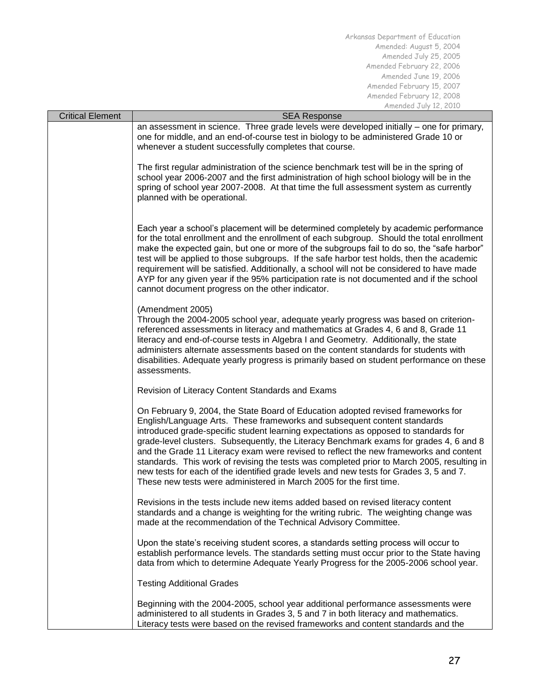| <b>Critical Element</b> | <b>SEA Response</b>                                                                                                                                                                                                                                                                                                                                                                                                                                                                                                                                                                                                                                                                                   |  |  |  |  |
|-------------------------|-------------------------------------------------------------------------------------------------------------------------------------------------------------------------------------------------------------------------------------------------------------------------------------------------------------------------------------------------------------------------------------------------------------------------------------------------------------------------------------------------------------------------------------------------------------------------------------------------------------------------------------------------------------------------------------------------------|--|--|--|--|
|                         | an assessment in science. Three grade levels were developed initially – one for primary,<br>one for middle, and an end-of-course test in biology to be administered Grade 10 or<br>whenever a student successfully completes that course.                                                                                                                                                                                                                                                                                                                                                                                                                                                             |  |  |  |  |
|                         | The first regular administration of the science benchmark test will be in the spring of<br>school year 2006-2007 and the first administration of high school biology will be in the<br>spring of school year 2007-2008. At that time the full assessment system as currently<br>planned with be operational.                                                                                                                                                                                                                                                                                                                                                                                          |  |  |  |  |
|                         | Each year a school's placement will be determined completely by academic performance<br>for the total enrollment and the enrollment of each subgroup. Should the total enrollment<br>make the expected gain, but one or more of the subgroups fail to do so, the "safe harbor"<br>test will be applied to those subgroups. If the safe harbor test holds, then the academic<br>requirement will be satisfied. Additionally, a school will not be considered to have made<br>AYP for any given year if the 95% participation rate is not documented and if the school<br>cannot document progress on the other indicator.                                                                              |  |  |  |  |
|                         | (Amendment 2005)<br>Through the 2004-2005 school year, adequate yearly progress was based on criterion-<br>referenced assessments in literacy and mathematics at Grades 4, 6 and 8, Grade 11<br>literacy and end-of-course tests in Algebra I and Geometry. Additionally, the state<br>administers alternate assessments based on the content standards for students with<br>disabilities. Adequate yearly progress is primarily based on student performance on these<br>assessments.                                                                                                                                                                                                                |  |  |  |  |
|                         | Revision of Literacy Content Standards and Exams                                                                                                                                                                                                                                                                                                                                                                                                                                                                                                                                                                                                                                                      |  |  |  |  |
|                         | On February 9, 2004, the State Board of Education adopted revised frameworks for<br>English/Language Arts. These frameworks and subsequent content standards<br>introduced grade-specific student learning expectations as opposed to standards for<br>grade-level clusters. Subsequently, the Literacy Benchmark exams for grades 4, 6 and 8<br>and the Grade 11 Literacy exam were revised to reflect the new frameworks and content<br>standards. This work of revising the tests was completed prior to March 2005, resulting in<br>new tests for each of the identified grade levels and new tests for Grades 3, 5 and 7.<br>These new tests were administered in March 2005 for the first time. |  |  |  |  |
|                         | Revisions in the tests include new items added based on revised literacy content<br>standards and a change is weighting for the writing rubric. The weighting change was<br>made at the recommendation of the Technical Advisory Committee.                                                                                                                                                                                                                                                                                                                                                                                                                                                           |  |  |  |  |
|                         | Upon the state's receiving student scores, a standards setting process will occur to<br>establish performance levels. The standards setting must occur prior to the State having<br>data from which to determine Adequate Yearly Progress for the 2005-2006 school year.                                                                                                                                                                                                                                                                                                                                                                                                                              |  |  |  |  |
|                         | <b>Testing Additional Grades</b>                                                                                                                                                                                                                                                                                                                                                                                                                                                                                                                                                                                                                                                                      |  |  |  |  |
|                         | Beginning with the 2004-2005, school year additional performance assessments were<br>administered to all students in Grades 3, 5 and 7 in both literacy and mathematics.<br>Literacy tests were based on the revised frameworks and content standards and the                                                                                                                                                                                                                                                                                                                                                                                                                                         |  |  |  |  |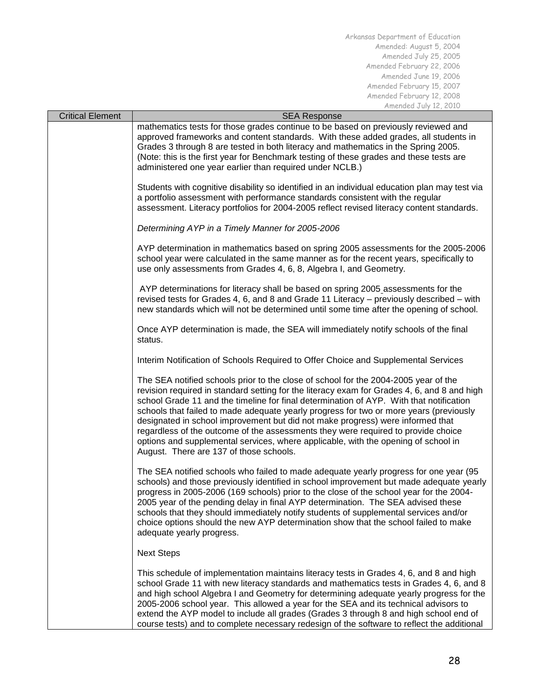| <b>Critical Element</b> | <b>SEA Response</b>                                                                                                                                                                                                                                                                                                                                                                                                                                                                                                                                                                                                                                                             |  |  |  |  |
|-------------------------|---------------------------------------------------------------------------------------------------------------------------------------------------------------------------------------------------------------------------------------------------------------------------------------------------------------------------------------------------------------------------------------------------------------------------------------------------------------------------------------------------------------------------------------------------------------------------------------------------------------------------------------------------------------------------------|--|--|--|--|
|                         | mathematics tests for those grades continue to be based on previously reviewed and<br>approved frameworks and content standards. With these added grades, all students in<br>Grades 3 through 8 are tested in both literacy and mathematics in the Spring 2005.<br>(Note: this is the first year for Benchmark testing of these grades and these tests are<br>administered one year earlier than required under NCLB.)                                                                                                                                                                                                                                                          |  |  |  |  |
|                         | Students with cognitive disability so identified in an individual education plan may test via<br>a portfolio assessment with performance standards consistent with the regular<br>assessment. Literacy portfolios for 2004-2005 reflect revised literacy content standards.                                                                                                                                                                                                                                                                                                                                                                                                     |  |  |  |  |
|                         | Determining AYP in a Timely Manner for 2005-2006                                                                                                                                                                                                                                                                                                                                                                                                                                                                                                                                                                                                                                |  |  |  |  |
|                         | AYP determination in mathematics based on spring 2005 assessments for the 2005-2006<br>school year were calculated in the same manner as for the recent years, specifically to<br>use only assessments from Grades 4, 6, 8, Algebra I, and Geometry.                                                                                                                                                                                                                                                                                                                                                                                                                            |  |  |  |  |
|                         | AYP determinations for literacy shall be based on spring 2005 assessments for the<br>revised tests for Grades 4, 6, and 8 and Grade 11 Literacy - previously described - with<br>new standards which will not be determined until some time after the opening of school.                                                                                                                                                                                                                                                                                                                                                                                                        |  |  |  |  |
|                         | Once AYP determination is made, the SEA will immediately notify schools of the final<br>status.                                                                                                                                                                                                                                                                                                                                                                                                                                                                                                                                                                                 |  |  |  |  |
|                         | Interim Notification of Schools Required to Offer Choice and Supplemental Services                                                                                                                                                                                                                                                                                                                                                                                                                                                                                                                                                                                              |  |  |  |  |
|                         | The SEA notified schools prior to the close of school for the 2004-2005 year of the<br>revision required in standard setting for the literacy exam for Grades 4, 6, and 8 and high<br>school Grade 11 and the timeline for final determination of AYP. With that notification<br>schools that failed to made adequate yearly progress for two or more years (previously<br>designated in school improvement but did not make progress) were informed that<br>regardless of the outcome of the assessments they were required to provide choice<br>options and supplemental services, where applicable, with the opening of school in<br>August. There are 137 of those schools. |  |  |  |  |
|                         | The SEA notified schools who failed to made adequate yearly progress for one year (95<br>schools) and those previously identified in school improvement but made adequate yearly<br>progress in 2005-2006 (169 schools) prior to the close of the school year for the 2004-<br>2005 year of the pending delay in final AYP determination. The SEA advised these<br>schools that they should immediately notify students of supplemental services and/or<br>choice options should the new AYP determination show that the school failed to make<br>adequate yearly progress.                                                                                                     |  |  |  |  |
|                         | <b>Next Steps</b>                                                                                                                                                                                                                                                                                                                                                                                                                                                                                                                                                                                                                                                               |  |  |  |  |
|                         | This schedule of implementation maintains literacy tests in Grades 4, 6, and 8 and high<br>school Grade 11 with new literacy standards and mathematics tests in Grades 4, 6, and 8<br>and high school Algebra I and Geometry for determining adequate yearly progress for the<br>2005-2006 school year. This allowed a year for the SEA and its technical advisors to<br>extend the AYP model to include all grades (Grades 3 through 8 and high school end of<br>course tests) and to complete necessary redesign of the software to reflect the additional                                                                                                                    |  |  |  |  |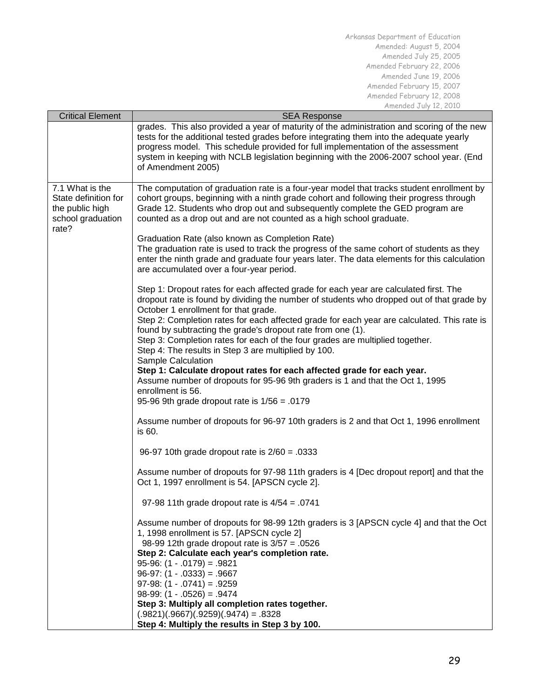|                         | MILICHUCU JUIY IL, LUIU                                                                     |
|-------------------------|---------------------------------------------------------------------------------------------|
| <b>Critical Element</b> | <b>SEA Response</b>                                                                         |
|                         | grades. This also provided a year of maturity of the administration and scoring of the new  |
|                         | tests for the additional tested grades before integrating them into the adequate yearly     |
|                         | progress model. This schedule provided for full implementation of the assessment            |
|                         | system in keeping with NCLB legislation beginning with the 2006-2007 school year. (End      |
|                         | of Amendment 2005)                                                                          |
|                         |                                                                                             |
| 7.1 What is the         | The computation of graduation rate is a four-year model that tracks student enrollment by   |
| State definition for    | cohort groups, beginning with a ninth grade cohort and following their progress through     |
| the public high         | Grade 12. Students who drop out and subsequently complete the GED program are               |
| school graduation       | counted as a drop out and are not counted as a high school graduate.                        |
| rate?                   |                                                                                             |
|                         | Graduation Rate (also known as Completion Rate)                                             |
|                         | The graduation rate is used to track the progress of the same cohort of students as they    |
|                         |                                                                                             |
|                         | enter the ninth grade and graduate four years later. The data elements for this calculation |
|                         | are accumulated over a four-year period.                                                    |
|                         |                                                                                             |
|                         | Step 1: Dropout rates for each affected grade for each year are calculated first. The       |
|                         | dropout rate is found by dividing the number of students who dropped out of that grade by   |
|                         | October 1 enrollment for that grade.                                                        |
|                         | Step 2: Completion rates for each affected grade for each year are calculated. This rate is |
|                         | found by subtracting the grade's dropout rate from one (1).                                 |
|                         | Step 3: Completion rates for each of the four grades are multiplied together.               |
|                         | Step 4: The results in Step 3 are multiplied by 100.                                        |
|                         | Sample Calculation                                                                          |
|                         | Step 1: Calculate dropout rates for each affected grade for each year.                      |
|                         | Assume number of dropouts for 95-96 9th graders is 1 and that the Oct 1, 1995               |
|                         | enrollment is 56.                                                                           |
|                         | 95-96 9th grade dropout rate is $1/56 = .0179$                                              |
|                         |                                                                                             |
|                         | Assume number of dropouts for 96-97 10th graders is 2 and that Oct 1, 1996 enrollment       |
|                         | is 60.                                                                                      |
|                         |                                                                                             |
|                         | 96-97 10th grade dropout rate is $2/60 = .0333$                                             |
|                         |                                                                                             |
|                         | Assume number of dropouts for 97-98 11th graders is 4 [Dec dropout report] and that the     |
|                         | Oct 1, 1997 enrollment is 54. [APSCN cycle 2].                                              |
|                         |                                                                                             |
|                         | 97-98 11th grade dropout rate is $4/54 = .0741$                                             |
|                         |                                                                                             |
|                         | Assume number of dropouts for 98-99 12th graders is 3 [APSCN cycle 4] and that the Oct      |
|                         | 1, 1998 enrollment is 57. [APSCN cycle 2]                                                   |
|                         | 98-99 12th grade dropout rate is $3/57 = .0526$                                             |
|                         | Step 2: Calculate each year's completion rate.                                              |
|                         | $95-96$ : $(1-.0179) = .9821$                                                               |
|                         | $96-97$ : $(1 - .0333) = .9667$                                                             |
|                         | $97-98$ : $(1 - .0741) = .9259$                                                             |
|                         | $98-99$ : $(1 - .0526) = .9474$                                                             |
|                         | Step 3: Multiply all completion rates together.                                             |
|                         | $(.9821)(.9667)(.9259)(.9474) = .8328$                                                      |
|                         |                                                                                             |
|                         | Step 4: Multiply the results in Step 3 by 100.                                              |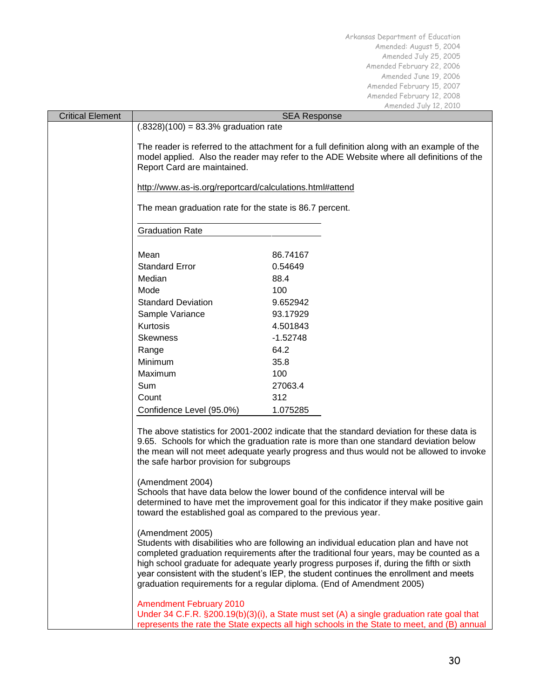|                         |                                                                                                                                                                                                                                                                                                                                                                                                                                                                       |                     | MIICHUCU U UIY IL, LUIU |  |  |  |
|-------------------------|-----------------------------------------------------------------------------------------------------------------------------------------------------------------------------------------------------------------------------------------------------------------------------------------------------------------------------------------------------------------------------------------------------------------------------------------------------------------------|---------------------|-------------------------|--|--|--|
| <b>Critical Element</b> |                                                                                                                                                                                                                                                                                                                                                                                                                                                                       | <b>SEA Response</b> |                         |  |  |  |
|                         | $(.8328)(100) = 83.3%$ graduation rate                                                                                                                                                                                                                                                                                                                                                                                                                                |                     |                         |  |  |  |
|                         | The reader is referred to the attachment for a full definition along with an example of the                                                                                                                                                                                                                                                                                                                                                                           |                     |                         |  |  |  |
|                         | model applied. Also the reader may refer to the ADE Website where all definitions of the                                                                                                                                                                                                                                                                                                                                                                              |                     |                         |  |  |  |
|                         | Report Card are maintained.                                                                                                                                                                                                                                                                                                                                                                                                                                           |                     |                         |  |  |  |
|                         | http://www.as-is.org/reportcard/calculations.html#attend                                                                                                                                                                                                                                                                                                                                                                                                              |                     |                         |  |  |  |
|                         |                                                                                                                                                                                                                                                                                                                                                                                                                                                                       |                     |                         |  |  |  |
|                         | The mean graduation rate for the state is 86.7 percent.                                                                                                                                                                                                                                                                                                                                                                                                               |                     |                         |  |  |  |
|                         | <b>Graduation Rate</b>                                                                                                                                                                                                                                                                                                                                                                                                                                                |                     |                         |  |  |  |
|                         |                                                                                                                                                                                                                                                                                                                                                                                                                                                                       |                     |                         |  |  |  |
|                         | Mean                                                                                                                                                                                                                                                                                                                                                                                                                                                                  | 86.74167            |                         |  |  |  |
|                         | <b>Standard Error</b>                                                                                                                                                                                                                                                                                                                                                                                                                                                 | 0.54649             |                         |  |  |  |
|                         | Median                                                                                                                                                                                                                                                                                                                                                                                                                                                                | 88.4                |                         |  |  |  |
|                         | Mode                                                                                                                                                                                                                                                                                                                                                                                                                                                                  | 100                 |                         |  |  |  |
|                         | <b>Standard Deviation</b>                                                                                                                                                                                                                                                                                                                                                                                                                                             | 9.652942            |                         |  |  |  |
|                         | Sample Variance                                                                                                                                                                                                                                                                                                                                                                                                                                                       | 93.17929            |                         |  |  |  |
|                         | Kurtosis                                                                                                                                                                                                                                                                                                                                                                                                                                                              | 4.501843            |                         |  |  |  |
|                         | <b>Skewness</b>                                                                                                                                                                                                                                                                                                                                                                                                                                                       | $-1.52748$          |                         |  |  |  |
|                         | Range                                                                                                                                                                                                                                                                                                                                                                                                                                                                 | 64.2                |                         |  |  |  |
|                         | Minimum                                                                                                                                                                                                                                                                                                                                                                                                                                                               | 35.8                |                         |  |  |  |
|                         | Maximum                                                                                                                                                                                                                                                                                                                                                                                                                                                               | 100                 |                         |  |  |  |
|                         | Sum                                                                                                                                                                                                                                                                                                                                                                                                                                                                   | 27063.4             |                         |  |  |  |
|                         | Count                                                                                                                                                                                                                                                                                                                                                                                                                                                                 | 312                 |                         |  |  |  |
|                         | Confidence Level (95.0%)                                                                                                                                                                                                                                                                                                                                                                                                                                              | 1.075285            |                         |  |  |  |
|                         |                                                                                                                                                                                                                                                                                                                                                                                                                                                                       |                     |                         |  |  |  |
|                         | The above statistics for 2001-2002 indicate that the standard deviation for these data is<br>9.65. Schools for which the graduation rate is more than one standard deviation below<br>the mean will not meet adequate yearly progress and thus would not be allowed to invoke<br>the safe harbor provision for subgroups                                                                                                                                              |                     |                         |  |  |  |
|                         | (Amendment 2004)<br>Schools that have data below the lower bound of the confidence interval will be<br>determined to have met the improvement goal for this indicator if they make positive gain<br>toward the established goal as compared to the previous year.                                                                                                                                                                                                     |                     |                         |  |  |  |
|                         | (Amendment 2005)<br>Students with disabilities who are following an individual education plan and have not<br>completed graduation requirements after the traditional four years, may be counted as a<br>high school graduate for adequate yearly progress purposes if, during the fifth or sixth<br>year consistent with the student's IEP, the student continues the enrollment and meets<br>graduation requirements for a regular diploma. (End of Amendment 2005) |                     |                         |  |  |  |
|                         | <b>Amendment February 2010</b><br>Under 34 C.F.R. §200.19(b)(3)(i), a State must set (A) a single graduation rate goal that<br>represents the rate the State expects all high schools in the State to meet, and (B) annual                                                                                                                                                                                                                                            |                     |                         |  |  |  |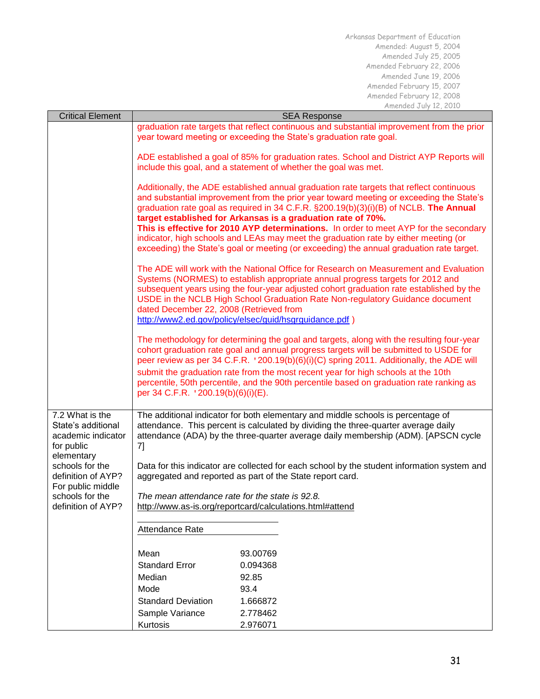| <b>Critical Element</b>                                                   | <b>SEA Response</b>                                                                                                                                         |                                                                                                                                                                                                                                                                                                                                                                                                                                                                                                                                                                                                                          |  |  |  |  |  |
|---------------------------------------------------------------------------|-------------------------------------------------------------------------------------------------------------------------------------------------------------|--------------------------------------------------------------------------------------------------------------------------------------------------------------------------------------------------------------------------------------------------------------------------------------------------------------------------------------------------------------------------------------------------------------------------------------------------------------------------------------------------------------------------------------------------------------------------------------------------------------------------|--|--|--|--|--|
|                                                                           |                                                                                                                                                             | graduation rate targets that reflect continuous and substantial improvement from the prior<br>year toward meeting or exceeding the State's graduation rate goal.                                                                                                                                                                                                                                                                                                                                                                                                                                                         |  |  |  |  |  |
|                                                                           | ADE established a goal of 85% for graduation rates. School and District AYP Reports will<br>include this goal, and a statement of whether the goal was met. |                                                                                                                                                                                                                                                                                                                                                                                                                                                                                                                                                                                                                          |  |  |  |  |  |
|                                                                           |                                                                                                                                                             | Additionally, the ADE established annual graduation rate targets that reflect continuous<br>and substantial improvement from the prior year toward meeting or exceeding the State's<br>graduation rate goal as required in 34 C.F.R. §200.19(b)(3)(i)(B) of NCLB. The Annual<br>target established for Arkansas is a graduation rate of 70%.<br>This is effective for 2010 AYP determinations. In order to meet AYP for the secondary<br>indicator, high schools and LEAs may meet the graduation rate by either meeting (or<br>exceeding) the State's goal or meeting (or exceeding) the annual graduation rate target. |  |  |  |  |  |
|                                                                           | dated December 22, 2008 (Retrieved from                                                                                                                     | The ADE will work with the National Office for Research on Measurement and Evaluation<br>Systems (NORMES) to establish appropriate annual progress targets for 2012 and<br>subsequent years using the four-year adjusted cohort graduation rate established by the<br>USDE in the NCLB High School Graduation Rate Non-regulatory Guidance document<br>http://www2.ed.gov/policy/elsec/guid/hsgrguidance.pdf)                                                                                                                                                                                                            |  |  |  |  |  |
|                                                                           |                                                                                                                                                             | The methodology for determining the goal and targets, along with the resulting four-year<br>cohort graduation rate goal and annual progress targets will be submitted to USDE for<br>peer review as per 34 C.F.R. '200.19(b)(6)(i)(C) spring 2011. Additionally, the ADE will                                                                                                                                                                                                                                                                                                                                            |  |  |  |  |  |
|                                                                           |                                                                                                                                                             | submit the graduation rate from the most recent year for high schools at the 10th<br>percentile, 50th percentile, and the 90th percentile based on graduation rate ranking as<br>per 34 C.F.R. '200.19(b)(6)(i)(E).                                                                                                                                                                                                                                                                                                                                                                                                      |  |  |  |  |  |
| 7.2 What is the<br>State's additional<br>academic indicator<br>for public | 7]                                                                                                                                                          | The additional indicator for both elementary and middle schools is percentage of<br>attendance. This percent is calculated by dividing the three-quarter average daily<br>attendance (ADA) by the three-quarter average daily membership (ADM). [APSCN cycle                                                                                                                                                                                                                                                                                                                                                             |  |  |  |  |  |
| elementary<br>schools for the<br>definition of AYP?<br>For public middle  | Data for this indicator are collected for each school by the student information system and<br>aggregated and reported as part of the State report card.    |                                                                                                                                                                                                                                                                                                                                                                                                                                                                                                                                                                                                                          |  |  |  |  |  |
| schools for the<br>definition of AYP?                                     | The mean attendance rate for the state is 92.8.<br>http://www.as-is.org/reportcard/calculations.html#attend                                                 |                                                                                                                                                                                                                                                                                                                                                                                                                                                                                                                                                                                                                          |  |  |  |  |  |
|                                                                           | Attendance Rate                                                                                                                                             |                                                                                                                                                                                                                                                                                                                                                                                                                                                                                                                                                                                                                          |  |  |  |  |  |
|                                                                           | Mean                                                                                                                                                        | 93.00769                                                                                                                                                                                                                                                                                                                                                                                                                                                                                                                                                                                                                 |  |  |  |  |  |
|                                                                           | <b>Standard Error</b>                                                                                                                                       | 0.094368                                                                                                                                                                                                                                                                                                                                                                                                                                                                                                                                                                                                                 |  |  |  |  |  |
|                                                                           | Median                                                                                                                                                      | 92.85                                                                                                                                                                                                                                                                                                                                                                                                                                                                                                                                                                                                                    |  |  |  |  |  |
|                                                                           | Mode                                                                                                                                                        | 93.4                                                                                                                                                                                                                                                                                                                                                                                                                                                                                                                                                                                                                     |  |  |  |  |  |
|                                                                           | <b>Standard Deviation</b>                                                                                                                                   | 1.666872                                                                                                                                                                                                                                                                                                                                                                                                                                                                                                                                                                                                                 |  |  |  |  |  |
|                                                                           | Sample Variance                                                                                                                                             | 2.778462                                                                                                                                                                                                                                                                                                                                                                                                                                                                                                                                                                                                                 |  |  |  |  |  |
|                                                                           | Kurtosis                                                                                                                                                    | 2.976071                                                                                                                                                                                                                                                                                                                                                                                                                                                                                                                                                                                                                 |  |  |  |  |  |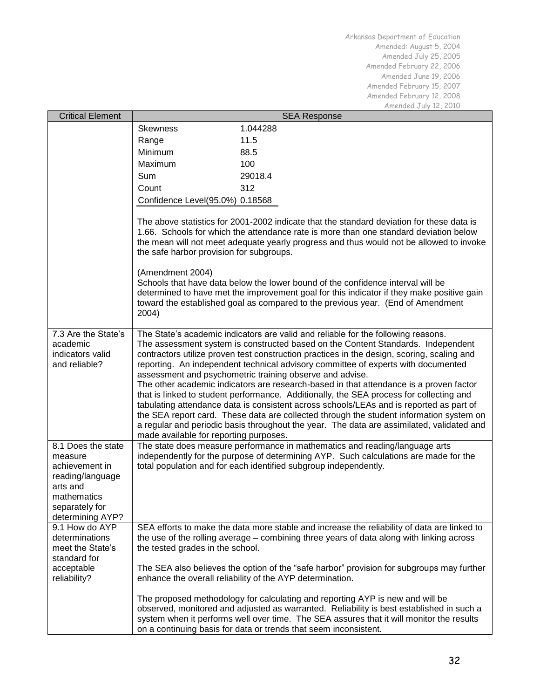| <b>Critical Element</b>                                                                                                              | <b>SEA Response</b>                                                                                                                                    |                                                                                                                                                                                                                                                                                                                                                                                                                                                                                                                                                                                                                                                                                                                                                                                                                                                                                              |  |  |  |
|--------------------------------------------------------------------------------------------------------------------------------------|--------------------------------------------------------------------------------------------------------------------------------------------------------|----------------------------------------------------------------------------------------------------------------------------------------------------------------------------------------------------------------------------------------------------------------------------------------------------------------------------------------------------------------------------------------------------------------------------------------------------------------------------------------------------------------------------------------------------------------------------------------------------------------------------------------------------------------------------------------------------------------------------------------------------------------------------------------------------------------------------------------------------------------------------------------------|--|--|--|
|                                                                                                                                      | <b>Skewness</b>                                                                                                                                        | 1.044288                                                                                                                                                                                                                                                                                                                                                                                                                                                                                                                                                                                                                                                                                                                                                                                                                                                                                     |  |  |  |
|                                                                                                                                      | Range                                                                                                                                                  | 11.5                                                                                                                                                                                                                                                                                                                                                                                                                                                                                                                                                                                                                                                                                                                                                                                                                                                                                         |  |  |  |
|                                                                                                                                      | Minimum                                                                                                                                                | 88.5                                                                                                                                                                                                                                                                                                                                                                                                                                                                                                                                                                                                                                                                                                                                                                                                                                                                                         |  |  |  |
|                                                                                                                                      | Maximum                                                                                                                                                | 100                                                                                                                                                                                                                                                                                                                                                                                                                                                                                                                                                                                                                                                                                                                                                                                                                                                                                          |  |  |  |
|                                                                                                                                      | Sum                                                                                                                                                    | 29018.4                                                                                                                                                                                                                                                                                                                                                                                                                                                                                                                                                                                                                                                                                                                                                                                                                                                                                      |  |  |  |
|                                                                                                                                      | Count                                                                                                                                                  | 312                                                                                                                                                                                                                                                                                                                                                                                                                                                                                                                                                                                                                                                                                                                                                                                                                                                                                          |  |  |  |
|                                                                                                                                      | Confidence Level(95.0%) 0.18568                                                                                                                        |                                                                                                                                                                                                                                                                                                                                                                                                                                                                                                                                                                                                                                                                                                                                                                                                                                                                                              |  |  |  |
|                                                                                                                                      | the safe harbor provision for subgroups.<br>(Amendment 2004)<br>2004)                                                                                  | The above statistics for 2001-2002 indicate that the standard deviation for these data is<br>1.66. Schools for which the attendance rate is more than one standard deviation below<br>the mean will not meet adequate yearly progress and thus would not be allowed to invoke<br>Schools that have data below the lower bound of the confidence interval will be<br>determined to have met the improvement goal for this indicator if they make positive gain<br>toward the established goal as compared to the previous year. (End of Amendment                                                                                                                                                                                                                                                                                                                                             |  |  |  |
| 7.3 Are the State's<br>academic<br>indicators valid<br>and reliable?                                                                 | made available for reporting purposes.                                                                                                                 | The State's academic indicators are valid and reliable for the following reasons.<br>The assessment system is constructed based on the Content Standards. Independent<br>contractors utilize proven test construction practices in the design, scoring, scaling and<br>reporting. An independent technical advisory committee of experts with documented<br>assessment and psychometric training observe and advise.<br>The other academic indicators are research-based in that attendance is a proven factor<br>that is linked to student performance. Additionally, the SEA process for collecting and<br>tabulating attendance data is consistent across schools/LEAs and is reported as part of<br>the SEA report card. These data are collected through the student information system on<br>a regular and periodic basis throughout the year. The data are assimilated, validated and |  |  |  |
| 8.1 Does the state<br>measure<br>achievement in<br>reading/language<br>arts and<br>mathematics<br>separately for<br>determining AYP? |                                                                                                                                                        | The state does measure performance in mathematics and reading/language arts<br>independently for the purpose of determining AYP. Such calculations are made for the<br>total population and for each identified subgroup independently.                                                                                                                                                                                                                                                                                                                                                                                                                                                                                                                                                                                                                                                      |  |  |  |
| 9.1 How do AYP<br>determinations<br>meet the State's<br>standard for                                                                 | the tested grades in the school.                                                                                                                       | SEA efforts to make the data more stable and increase the reliability of data are linked to<br>the use of the rolling average – combining three years of data along with linking across                                                                                                                                                                                                                                                                                                                                                                                                                                                                                                                                                                                                                                                                                                      |  |  |  |
| acceptable<br>reliability?                                                                                                           | The SEA also believes the option of the "safe harbor" provision for subgroups may further<br>enhance the overall reliability of the AYP determination. |                                                                                                                                                                                                                                                                                                                                                                                                                                                                                                                                                                                                                                                                                                                                                                                                                                                                                              |  |  |  |
|                                                                                                                                      |                                                                                                                                                        | The proposed methodology for calculating and reporting AYP is new and will be<br>observed, monitored and adjusted as warranted. Reliability is best established in such a<br>system when it performs well over time. The SEA assures that it will monitor the results<br>on a continuing basis for data or trends that seem inconsistent.                                                                                                                                                                                                                                                                                                                                                                                                                                                                                                                                                    |  |  |  |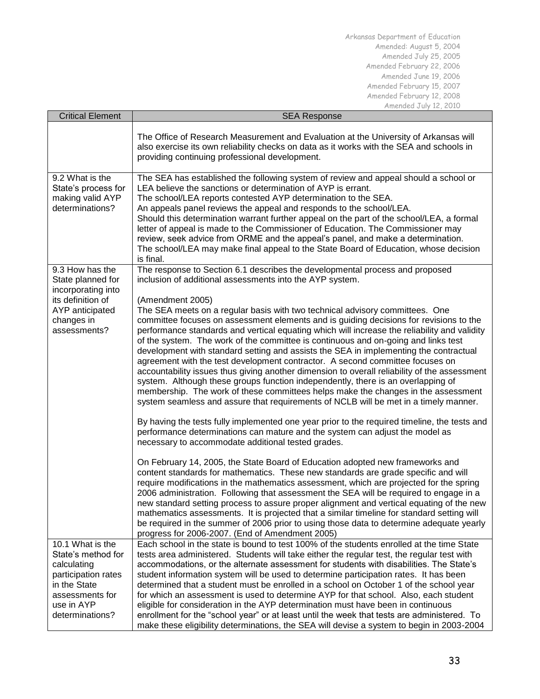| <b>Critical Element</b>                                                                                                                          | <b>SEA Response</b>                                                                                                                                                                                                                                                                                                                                                                                                                                                                                                                                                                                                                                                                                                                                                                                                                                                                                                                                                                                                                                                                                                                                                                                                                                                                                                                                                                                                                                                                                                                                                                                                                                                       |  |  |  |  |
|--------------------------------------------------------------------------------------------------------------------------------------------------|---------------------------------------------------------------------------------------------------------------------------------------------------------------------------------------------------------------------------------------------------------------------------------------------------------------------------------------------------------------------------------------------------------------------------------------------------------------------------------------------------------------------------------------------------------------------------------------------------------------------------------------------------------------------------------------------------------------------------------------------------------------------------------------------------------------------------------------------------------------------------------------------------------------------------------------------------------------------------------------------------------------------------------------------------------------------------------------------------------------------------------------------------------------------------------------------------------------------------------------------------------------------------------------------------------------------------------------------------------------------------------------------------------------------------------------------------------------------------------------------------------------------------------------------------------------------------------------------------------------------------------------------------------------------------|--|--|--|--|
|                                                                                                                                                  | The Office of Research Measurement and Evaluation at the University of Arkansas will<br>also exercise its own reliability checks on data as it works with the SEA and schools in<br>providing continuing professional development.                                                                                                                                                                                                                                                                                                                                                                                                                                                                                                                                                                                                                                                                                                                                                                                                                                                                                                                                                                                                                                                                                                                                                                                                                                                                                                                                                                                                                                        |  |  |  |  |
| 9.2 What is the<br>State's process for<br>making valid AYP<br>determinations?                                                                    | The SEA has established the following system of review and appeal should a school or<br>LEA believe the sanctions or determination of AYP is errant.<br>The school/LEA reports contested AYP determination to the SEA.<br>An appeals panel reviews the appeal and responds to the school/LEA.<br>Should this determination warrant further appeal on the part of the school/LEA, a formal<br>letter of appeal is made to the Commissioner of Education. The Commissioner may<br>review, seek advice from ORME and the appeal's panel, and make a determination.<br>The school/LEA may make final appeal to the State Board of Education, whose decision<br>is final.                                                                                                                                                                                                                                                                                                                                                                                                                                                                                                                                                                                                                                                                                                                                                                                                                                                                                                                                                                                                      |  |  |  |  |
| 9.3 How has the<br>State planned for<br>incorporating into<br>its definition of<br>AYP anticipated<br>changes in<br>assessments?                 | The response to Section 6.1 describes the developmental process and proposed<br>inclusion of additional assessments into the AYP system.<br>(Amendment 2005)<br>The SEA meets on a regular basis with two technical advisory committees. One<br>committee focuses on assessment elements and is guiding decisions for revisions to the<br>performance standards and vertical equating which will increase the reliability and validity<br>of the system. The work of the committee is continuous and on-going and links test<br>development with standard setting and assists the SEA in implementing the contractual<br>agreement with the test development contractor. A second committee focuses on<br>accountability issues thus giving another dimension to overall reliability of the assessment<br>system. Although these groups function independently, there is an overlapping of<br>membership. The work of these committees helps make the changes in the assessment<br>system seamless and assure that requirements of NCLB will be met in a timely manner.<br>By having the tests fully implemented one year prior to the required timeline, the tests and<br>performance determinations can mature and the system can adjust the model as<br>necessary to accommodate additional tested grades.<br>On February 14, 2005, the State Board of Education adopted new frameworks and<br>content standards for mathematics. These new standards are grade specific and will<br>require modifications in the mathematics assessment, which are projected for the spring<br>2006 administration. Following that assessment the SEA will be required to engage in a |  |  |  |  |
|                                                                                                                                                  | new standard setting process to assure proper alignment and vertical equating of the new<br>mathematics assessments. It is projected that a similar timeline for standard setting will<br>be required in the summer of 2006 prior to using those data to determine adequate yearly<br>progress for 2006-2007. (End of Amendment 2005)                                                                                                                                                                                                                                                                                                                                                                                                                                                                                                                                                                                                                                                                                                                                                                                                                                                                                                                                                                                                                                                                                                                                                                                                                                                                                                                                     |  |  |  |  |
| 10.1 What is the<br>State's method for<br>calculating<br>participation rates<br>in the State<br>assessments for<br>use in AYP<br>determinations? | Each school in the state is bound to test 100% of the students enrolled at the time State<br>tests area administered. Students will take either the regular test, the regular test with<br>accommodations, or the alternate assessment for students with disabilities. The State's<br>student information system will be used to determine participation rates. It has been<br>determined that a student must be enrolled in a school on October 1 of the school year<br>for which an assessment is used to determine AYP for that school. Also, each student<br>eligible for consideration in the AYP determination must have been in continuous<br>enrollment for the "school year" or at least until the week that tests are administered. To<br>make these eligibility determinations, the SEA will devise a system to begin in 2003-2004                                                                                                                                                                                                                                                                                                                                                                                                                                                                                                                                                                                                                                                                                                                                                                                                                             |  |  |  |  |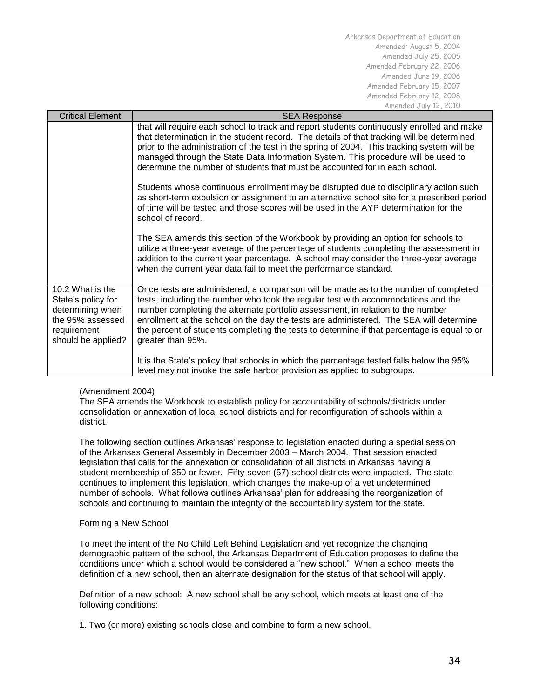| <b>Critical Element</b>                                                                                             | <b>SEA Response</b>                                                                                                                                                                                                                                                                                                                                                                                                                                                        |
|---------------------------------------------------------------------------------------------------------------------|----------------------------------------------------------------------------------------------------------------------------------------------------------------------------------------------------------------------------------------------------------------------------------------------------------------------------------------------------------------------------------------------------------------------------------------------------------------------------|
|                                                                                                                     | that will require each school to track and report students continuously enrolled and make<br>that determination in the student record. The details of that tracking will be determined<br>prior to the administration of the test in the spring of 2004. This tracking system will be<br>managed through the State Data Information System. This procedure will be used to<br>determine the number of students that must be accounted for in each school.                  |
|                                                                                                                     | Students whose continuous enrollment may be disrupted due to disciplinary action such<br>as short-term expulsion or assignment to an alternative school site for a prescribed period<br>of time will be tested and those scores will be used in the AYP determination for the<br>school of record.                                                                                                                                                                         |
|                                                                                                                     | The SEA amends this section of the Workbook by providing an option for schools to<br>utilize a three-year average of the percentage of students completing the assessment in<br>addition to the current year percentage. A school may consider the three-year average<br>when the current year data fail to meet the performance standard.                                                                                                                                 |
| 10.2 What is the<br>State's policy for<br>determining when<br>the 95% assessed<br>requirement<br>should be applied? | Once tests are administered, a comparison will be made as to the number of completed<br>tests, including the number who took the regular test with accommodations and the<br>number completing the alternate portfolio assessment, in relation to the number<br>enrollment at the school on the day the tests are administered. The SEA will determine<br>the percent of students completing the tests to determine if that percentage is equal to or<br>greater than 95%. |
|                                                                                                                     | It is the State's policy that schools in which the percentage tested falls below the 95%<br>level may not invoke the safe harbor provision as applied to subgroups.                                                                                                                                                                                                                                                                                                        |

# (Amendment 2004)

The SEA amends the Workbook to establish policy for accountability of schools/districts under consolidation or annexation of local school districts and for reconfiguration of schools within a district.

The following section outlines Arkansas' response to legislation enacted during a special session of the Arkansas General Assembly in December 2003 – March 2004. That session enacted legislation that calls for the annexation or consolidation of all districts in Arkansas having a student membership of 350 or fewer. Fifty-seven (57) school districts were impacted. The state continues to implement this legislation, which changes the make-up of a yet undetermined number of schools. What follows outlines Arkansas' plan for addressing the reorganization of schools and continuing to maintain the integrity of the accountability system for the state.

# Forming a New School

To meet the intent of the No Child Left Behind Legislation and yet recognize the changing demographic pattern of the school, the Arkansas Department of Education proposes to define the conditions under which a school would be considered a "new school." When a school meets the definition of a new school, then an alternate designation for the status of that school will apply.

Definition of a new school: A new school shall be any school, which meets at least one of the following conditions:

1. Two (or more) existing schools close and combine to form a new school.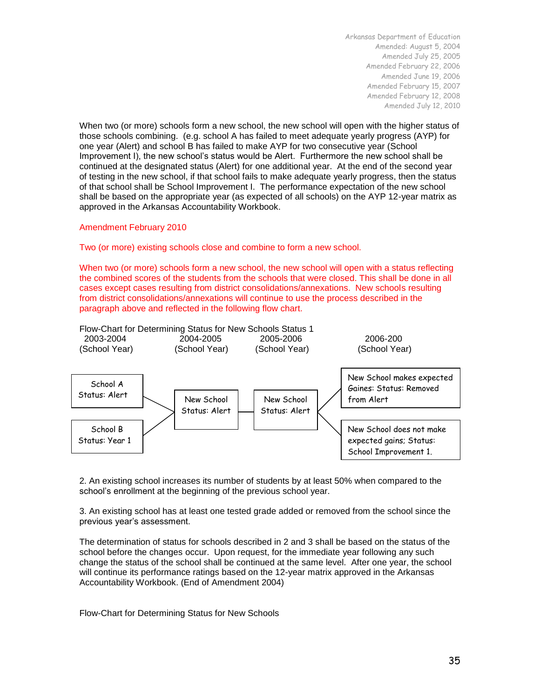When two (or more) schools form a new school, the new school will open with the higher status of those schools combining. (e.g. school A has failed to meet adequate yearly progress (AYP) for one year (Alert) and school B has failed to make AYP for two consecutive year (School Improvement I), the new school's status would be Alert. Furthermore the new school shall be continued at the designated status (Alert) for one additional year. At the end of the second year of testing in the new school, if that school fails to make adequate yearly progress, then the status of that school shall be School Improvement I. The performance expectation of the new school shall be based on the appropriate year (as expected of all schools) on the AYP 12-year matrix as approved in the Arkansas Accountability Workbook.

### Amendment February 2010

## Two (or more) existing schools close and combine to form a new school.

When two (or more) schools form a new school, the new school will open with a status reflecting the combined scores of the students from the schools that were closed. This shall be done in all cases except cases resulting from district consolidations/annexations. New schools resulting from district consolidations/annexations will continue to use the process described in the paragraph above and reflected in the following flow chart.



2. An existing school increases its number of students by at least 50% when compared to the school's enrollment at the beginning of the previous school year.

3. An existing school has at least one tested grade added or removed from the school since the previous year's assessment.

The determination of status for schools described in 2 and 3 shall be based on the status of the school before the changes occur. Upon request, for the immediate year following any such change the status of the school shall be continued at the same level. After one year, the school will continue its performance ratings based on the 12-year matrix approved in the Arkansas Accountability Workbook. (End of Amendment 2004)

Flow-Chart for Determining Status for New Schools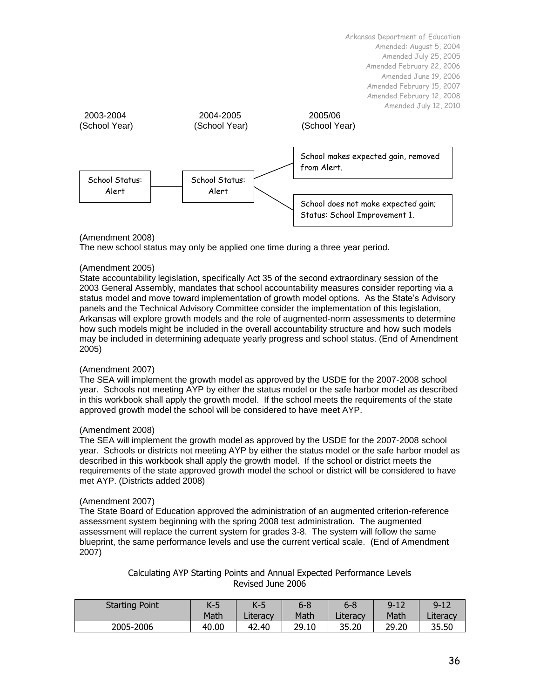

## (Amendment 2008)

The new school status may only be applied one time during a three year period.

### (Amendment 2005)

State accountability legislation, specifically Act 35 of the second extraordinary session of the 2003 General Assembly, mandates that school accountability measures consider reporting via a status model and move toward implementation of growth model options. As the State's Advisory panels and the Technical Advisory Committee consider the implementation of this legislation, Arkansas will explore growth models and the role of augmented-norm assessments to determine how such models might be included in the overall accountability structure and how such models may be included in determining adequate yearly progress and school status. (End of Amendment 2005)

## (Amendment 2007)

The SEA will implement the growth model as approved by the USDE for the 2007-2008 school year. Schools not meeting AYP by either the status model or the safe harbor model as described in this workbook shall apply the growth model. If the school meets the requirements of the state approved growth model the school will be considered to have meet AYP.

#### (Amendment 2008)

The SEA will implement the growth model as approved by the USDE for the 2007-2008 school year. Schools or districts not meeting AYP by either the status model or the safe harbor model as described in this workbook shall apply the growth model. If the school or district meets the requirements of the state approved growth model the school or district will be considered to have met AYP. (Districts added 2008)

#### (Amendment 2007)

The State Board of Education approved the administration of an augmented criterion-reference assessment system beginning with the spring 2008 test administration. The augmented assessment will replace the current system for grades 3-8. The system will follow the same blueprint, the same performance levels and use the current vertical scale. (End of Amendment 2007)

## Calculating AYP Starting Points and Annual Expected Performance Levels Revised June 2006

| <b>Starting Point</b> |       | $K-5$    | $6 - 8$ | $6 - 8$  | $9 - 12$ | $9 - 12$ |
|-----------------------|-------|----------|---------|----------|----------|----------|
|                       | Math  | Literacy | Math    | Literacy | Math     | Literacy |
| 2005-2006             | 40.00 | 42.40    | 29.10   | 35.20    | 29.20    | 35.50    |